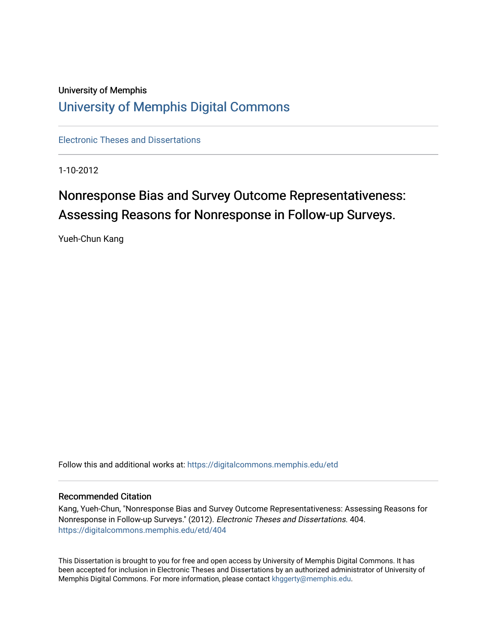# University of Memphis [University of Memphis Digital Commons](https://digitalcommons.memphis.edu/)

[Electronic Theses and Dissertations](https://digitalcommons.memphis.edu/etd)

1-10-2012

# Nonresponse Bias and Survey Outcome Representativeness: Assessing Reasons for Nonresponse in Follow-up Surveys.

Yueh-Chun Kang

Follow this and additional works at: [https://digitalcommons.memphis.edu/etd](https://digitalcommons.memphis.edu/etd?utm_source=digitalcommons.memphis.edu%2Fetd%2F404&utm_medium=PDF&utm_campaign=PDFCoverPages) 

### Recommended Citation

Kang, Yueh-Chun, "Nonresponse Bias and Survey Outcome Representativeness: Assessing Reasons for Nonresponse in Follow-up Surveys." (2012). Electronic Theses and Dissertations. 404. [https://digitalcommons.memphis.edu/etd/404](https://digitalcommons.memphis.edu/etd/404?utm_source=digitalcommons.memphis.edu%2Fetd%2F404&utm_medium=PDF&utm_campaign=PDFCoverPages) 

This Dissertation is brought to you for free and open access by University of Memphis Digital Commons. It has been accepted for inclusion in Electronic Theses and Dissertations by an authorized administrator of University of Memphis Digital Commons. For more information, please contact [khggerty@memphis.edu.](mailto:khggerty@memphis.edu)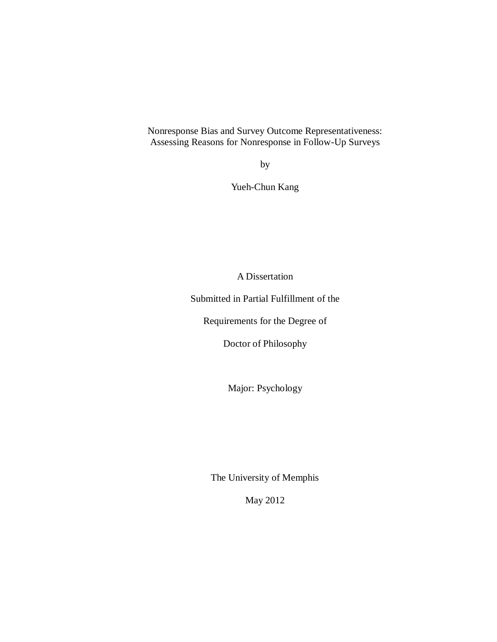Nonresponse Bias and Survey Outcome Representativeness: Assessing Reasons for Nonresponse in Follow-Up Surveys

by

Yueh-Chun Kang

A Dissertation

Submitted in Partial Fulfillment of the

Requirements for the Degree of

Doctor of Philosophy

Major: Psychology

The University of Memphis

May 2012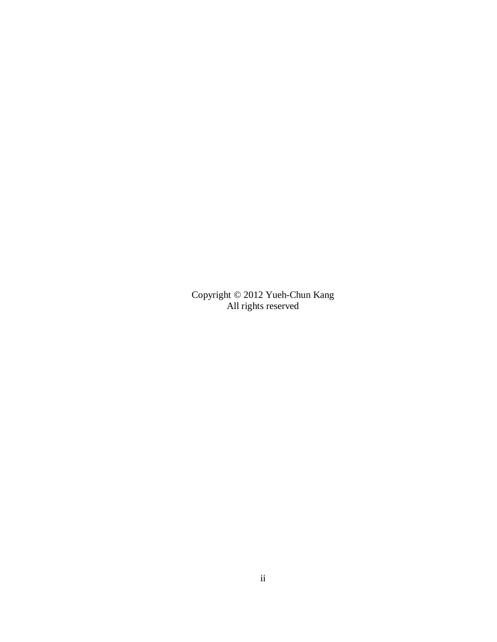Copyright © 2012 Yueh-Chun Kang All rights reserved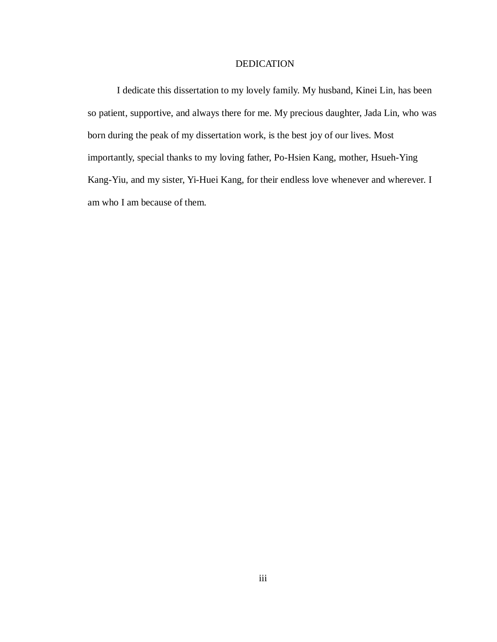### DEDICATION

I dedicate this dissertation to my lovely family. My husband, Kinei Lin, has been so patient, supportive, and always there for me. My precious daughter, Jada Lin, who was born during the peak of my dissertation work, is the best joy of our lives. Most importantly, special thanks to my loving father, Po-Hsien Kang, mother, Hsueh-Ying Kang-Yiu, and my sister, Yi-Huei Kang, for their endless love whenever and wherever. I am who I am because of them.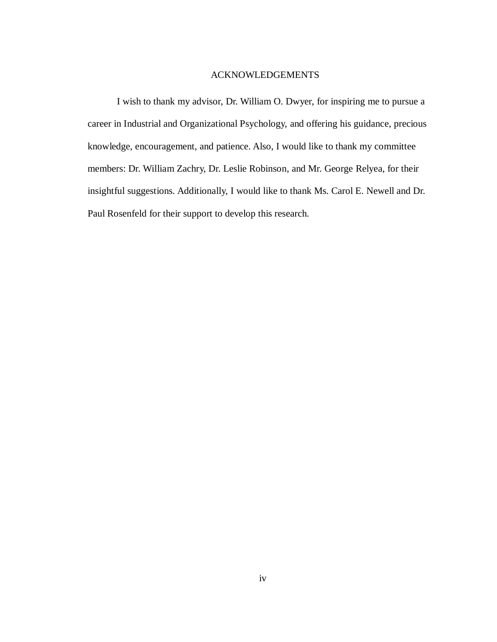### ACKNOWLEDGEMENTS

I wish to thank my advisor, Dr. William O. Dwyer, for inspiring me to pursue a career in Industrial and Organizational Psychology, and offering his guidance, precious knowledge, encouragement, and patience. Also, I would like to thank my committee members: Dr. William Zachry, Dr. Leslie Robinson, and Mr. George Relyea, for their insightful suggestions. Additionally, I would like to thank Ms. Carol E. Newell and Dr. Paul Rosenfeld for their support to develop this research.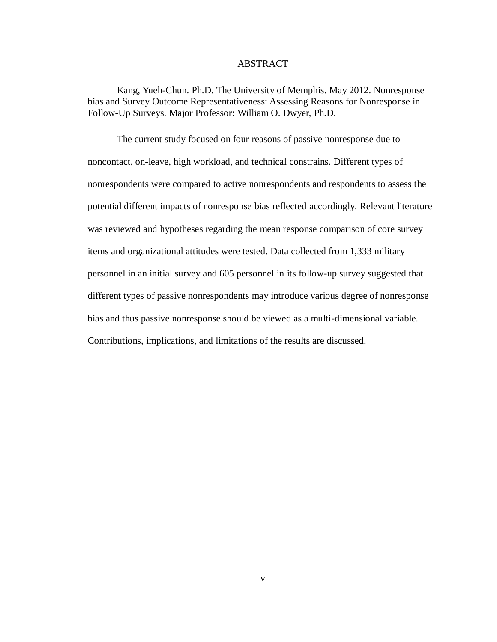### ABSTRACT

Kang, Yueh-Chun. Ph.D. The University of Memphis. May 2012. Nonresponse bias and Survey Outcome Representativeness: Assessing Reasons for Nonresponse in Follow-Up Surveys. Major Professor: William O. Dwyer, Ph.D.

The current study focused on four reasons of passive nonresponse due to noncontact, on-leave, high workload, and technical constrains. Different types of nonrespondents were compared to active nonrespondents and respondents to assess the potential different impacts of nonresponse bias reflected accordingly. Relevant literature was reviewed and hypotheses regarding the mean response comparison of core survey items and organizational attitudes were tested. Data collected from 1,333 military personnel in an initial survey and 605 personnel in its follow-up survey suggested that different types of passive nonrespondents may introduce various degree of nonresponse bias and thus passive nonresponse should be viewed as a multi-dimensional variable. Contributions, implications, and limitations of the results are discussed.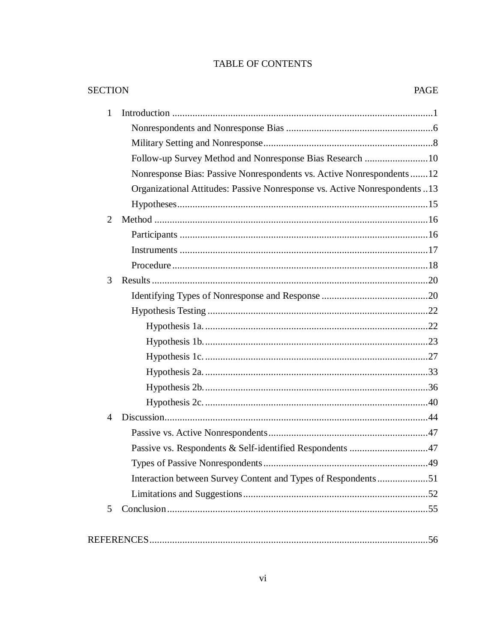# TABLE OF CONTENTS

| $\mathbf{1}$   |                                                                            |  |
|----------------|----------------------------------------------------------------------------|--|
|                |                                                                            |  |
|                |                                                                            |  |
|                | Follow-up Survey Method and Nonresponse Bias Research 10                   |  |
|                | Nonresponse Bias: Passive Nonrespondents vs. Active Nonrespondents  12     |  |
|                | Organizational Attitudes: Passive Nonresponse vs. Active Nonrespondents 13 |  |
|                |                                                                            |  |
| 2              |                                                                            |  |
|                |                                                                            |  |
|                |                                                                            |  |
|                |                                                                            |  |
| 3              |                                                                            |  |
|                |                                                                            |  |
|                |                                                                            |  |
|                |                                                                            |  |
|                |                                                                            |  |
|                |                                                                            |  |
|                |                                                                            |  |
|                |                                                                            |  |
|                |                                                                            |  |
| $\overline{4}$ |                                                                            |  |
|                |                                                                            |  |
|                | Passive vs. Respondents & Self-identified Respondents 47                   |  |
|                |                                                                            |  |
|                | Interaction between Survey Content and Types of Respondents51              |  |
|                |                                                                            |  |
| $\mathfrak{S}$ |                                                                            |  |
|                |                                                                            |  |
|                |                                                                            |  |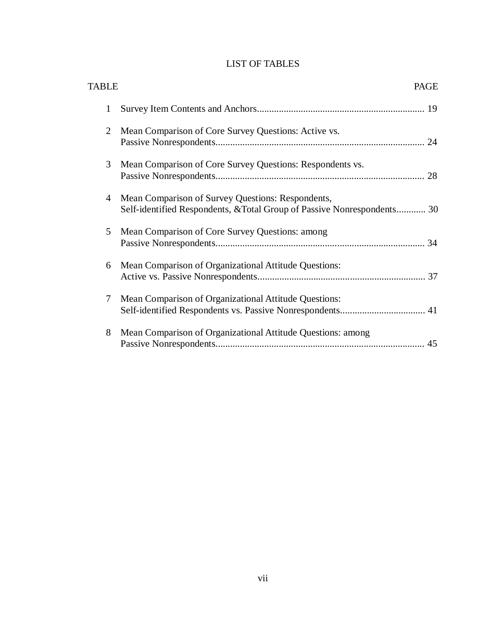# LIST OF TABLES

| <b>TABLE</b> |                                                                                                                              | <b>PAGE</b> |
|--------------|------------------------------------------------------------------------------------------------------------------------------|-------------|
| $\mathbf{1}$ |                                                                                                                              |             |
| 2            | Mean Comparison of Core Survey Questions: Active vs.                                                                         |             |
| 3            | Mean Comparison of Core Survey Questions: Respondents vs.                                                                    |             |
| 4            | Mean Comparison of Survey Questions: Respondents,<br>Self-identified Respondents, & Total Group of Passive Nonrespondents 30 |             |
| 5            | Mean Comparison of Core Survey Questions: among                                                                              |             |
| 6            | Mean Comparison of Organizational Attitude Questions:                                                                        |             |
| 7            | Mean Comparison of Organizational Attitude Questions:                                                                        |             |
| 8            | Mean Comparison of Organizational Attitude Questions: among                                                                  |             |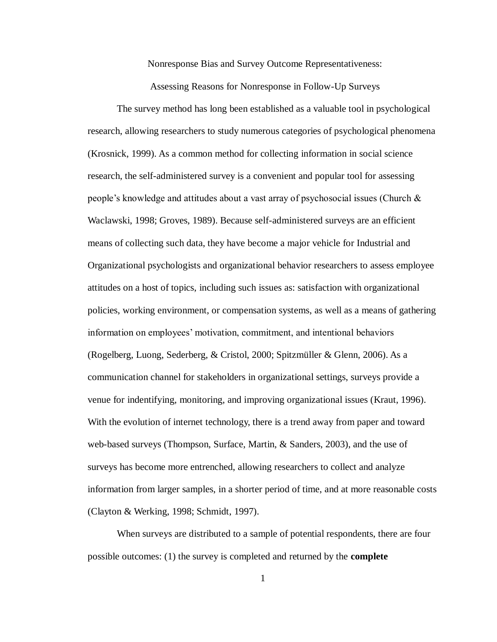Nonresponse Bias and Survey Outcome Representativeness:

Assessing Reasons for Nonresponse in Follow-Up Surveys

The survey method has long been established as a valuable tool in psychological research, allowing researchers to study numerous categories of psychological phenomena (Krosnick, 1999). As a common method for collecting information in social science research, the self-administered survey is a convenient and popular tool for assessing people's knowledge and attitudes about a vast array of psychosocial issues (Church & Waclawski, 1998; Groves, 1989). Because self-administered surveys are an efficient means of collecting such data, they have become a major vehicle for Industrial and Organizational psychologists and organizational behavior researchers to assess employee attitudes on a host of topics, including such issues as: satisfaction with organizational policies, working environment, or compensation systems, as well as a means of gathering information on employees' motivation, commitment, and intentional behaviors (Rogelberg, Luong, Sederberg, & Cristol, 2000; Spitzmüller & Glenn, 2006). As a communication channel for stakeholders in organizational settings, surveys provide a venue for indentifying, monitoring, and improving organizational issues (Kraut, 1996). With the evolution of internet technology, there is a trend away from paper and toward web-based surveys (Thompson, Surface, Martin, & Sanders, 2003), and the use of surveys has become more entrenched, allowing researchers to collect and analyze information from larger samples, in a shorter period of time, and at more reasonable costs (Clayton & Werking, 1998; Schmidt, 1997).

When surveys are distributed to a sample of potential respondents, there are four possible outcomes: (1) the survey is completed and returned by the **complete**

1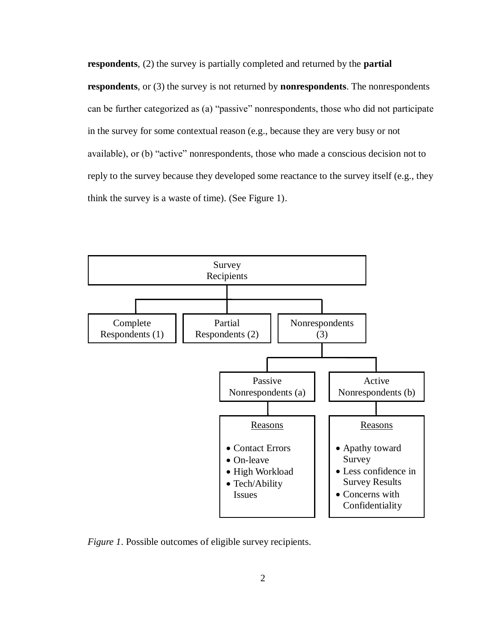**respondents**, (2) the survey is partially completed and returned by the **partial respondents**, or (3) the survey is not returned by **nonrespondents**. The nonrespondents can be further categorized as (a) "passive" nonrespondents, those who did not participate in the survey for some contextual reason (e.g., because they are very busy or not available), or (b) "active" nonrespondents, those who made a conscious decision not to reply to the survey because they developed some reactance to the survey itself (e.g., they think the survey is a waste of time). (See Figure 1).



*Figure 1*. Possible outcomes of eligible survey recipients.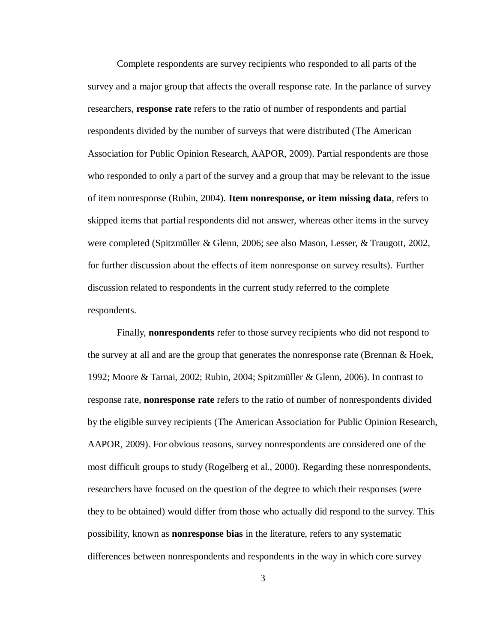Complete respondents are survey recipients who responded to all parts of the survey and a major group that affects the overall response rate. In the parlance of survey researchers, **response rate** refers to the ratio of number of respondents and partial respondents divided by the number of surveys that were distributed (The American Association for Public Opinion Research, AAPOR, 2009). Partial respondents are those who responded to only a part of the survey and a group that may be relevant to the issue of item nonresponse (Rubin, 2004). **Item nonresponse, or item missing data**, refers to skipped items that partial respondents did not answer, whereas other items in the survey were completed (Spitzmüller & Glenn, 2006; see also Mason, Lesser, & Traugott, 2002, for further discussion about the effects of item nonresponse on survey results). Further discussion related to respondents in the current study referred to the complete respondents.

Finally, **nonrespondents** refer to those survey recipients who did not respond to the survey at all and are the group that generates the nonresponse rate (Brennan & Hoek, 1992; Moore & Tarnai, 2002; Rubin, 2004; Spitzmüller & Glenn, 2006). In contrast to response rate, **nonresponse rate** refers to the ratio of number of nonrespondents divided by the eligible survey recipients (The American Association for Public Opinion Research, AAPOR, 2009). For obvious reasons, survey nonrespondents are considered one of the most difficult groups to study (Rogelberg et al., 2000). Regarding these nonrespondents, researchers have focused on the question of the degree to which their responses (were they to be obtained) would differ from those who actually did respond to the survey. This possibility, known as **nonresponse bias** in the literature, refers to any systematic differences between nonrespondents and respondents in the way in which core survey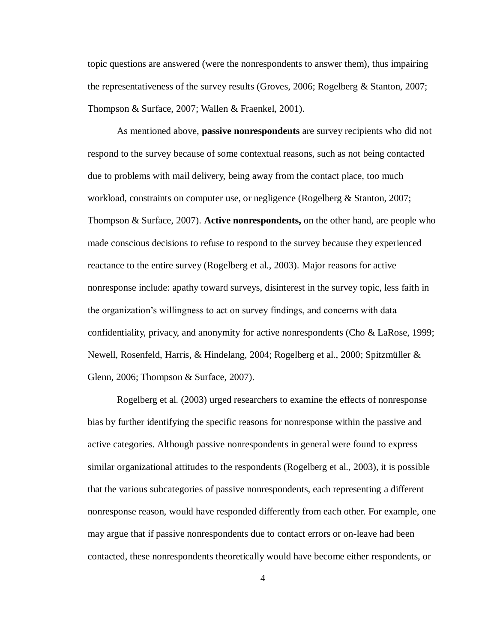topic questions are answered (were the nonrespondents to answer them), thus impairing the representativeness of the survey results (Groves, 2006; Rogelberg & Stanton, 2007; Thompson & Surface, 2007; Wallen & Fraenkel, 2001).

As mentioned above, **passive nonrespondents** are survey recipients who did not respond to the survey because of some contextual reasons, such as not being contacted due to problems with mail delivery, being away from the contact place, too much workload, constraints on computer use, or negligence (Rogelberg & Stanton, 2007; Thompson & Surface, 2007). **Active nonrespondents,** on the other hand, are people who made conscious decisions to refuse to respond to the survey because they experienced reactance to the entire survey (Rogelberg et al., 2003). Major reasons for active nonresponse include: apathy toward surveys, disinterest in the survey topic, less faith in the organization's willingness to act on survey findings, and concerns with data confidentiality, privacy, and anonymity for active nonrespondents (Cho & LaRose, 1999; Newell, Rosenfeld, Harris, & Hindelang, 2004; Rogelberg et al., 2000; Spitzmüller & Glenn, 2006; Thompson & Surface, 2007).

Rogelberg et al. (2003) urged researchers to examine the effects of nonresponse bias by further identifying the specific reasons for nonresponse within the passive and active categories. Although passive nonrespondents in general were found to express similar organizational attitudes to the respondents (Rogelberg et al., 2003), it is possible that the various subcategories of passive nonrespondents, each representing a different nonresponse reason, would have responded differently from each other. For example, one may argue that if passive nonrespondents due to contact errors or on-leave had been contacted, these nonrespondents theoretically would have become either respondents, or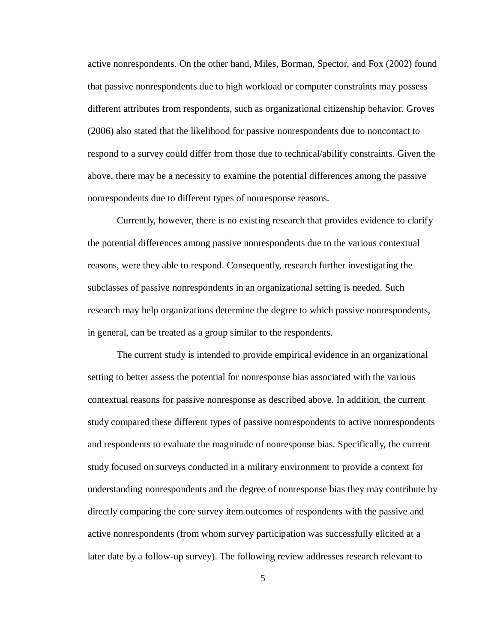active nonrespondents. On the other hand, Miles, Borman, Spector, and Fox (2002) found that passive nonrespondents due to high workload or computer constraints may possess different attributes from respondents, such as organizational citizenship behavior. Groves (2006) also stated that the likelihood for passive nonrespondents due to noncontact to respond to a survey could differ from those due to technical/ability constraints. Given the above, there may be a necessity to examine the potential differences among the passive nonrespondents due to different types of nonresponse reasons.

Currently, however, there is no existing research that provides evidence to clarify the potential differences among passive nonrespondents due to the various contextual reasons, were they able to respond. Consequently, research further investigating the subclasses of passive nonrespondents in an organizational setting is needed. Such research may help organizations determine the degree to which passive nonrespondents, in general, can be treated as a group similar to the respondents.

The current study is intended to provide empirical evidence in an organizational setting to better assess the potential for nonresponse bias associated with the various contextual reasons for passive nonresponse as described above. In addition, the current study compared these different types of passive nonrespondents to active nonrespondents and respondents to evaluate the magnitude of nonresponse bias. Specifically, the current study focused on surveys conducted in a military environment to provide a context for understanding nonrespondents and the degree of nonresponse bias they may contribute by directly comparing the core survey item outcomes of respondents with the passive and active nonrespondents (from whom survey participation was successfully elicited at a later date by a follow-up survey). The following review addresses research relevant to

5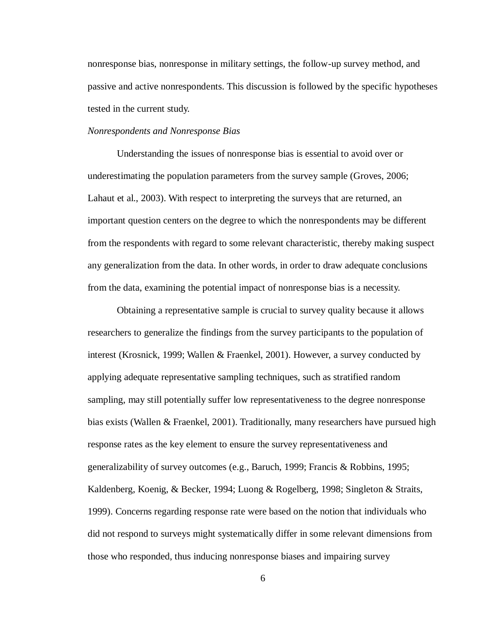nonresponse bias, nonresponse in military settings, the follow-up survey method, and passive and active nonrespondents. This discussion is followed by the specific hypotheses tested in the current study.

### <span id="page-13-0"></span>*Nonrespondents and Nonresponse Bias*

Understanding the issues of nonresponse bias is essential to avoid over or underestimating the population parameters from the survey sample (Groves, 2006; Lahaut et al., 2003). With respect to interpreting the surveys that are returned, an important question centers on the degree to which the nonrespondents may be different from the respondents with regard to some relevant characteristic, thereby making suspect any generalization from the data. In other words, in order to draw adequate conclusions from the data, examining the potential impact of nonresponse bias is a necessity.

Obtaining a representative sample is crucial to survey quality because it allows researchers to generalize the findings from the survey participants to the population of interest (Krosnick, 1999; Wallen & Fraenkel, 2001). However, a survey conducted by applying adequate representative sampling techniques, such as stratified random sampling, may still potentially suffer low representativeness to the degree nonresponse bias exists (Wallen & Fraenkel, 2001). Traditionally, many researchers have pursued high response rates as the key element to ensure the survey representativeness and generalizability of survey outcomes (e.g., Baruch, 1999; Francis & Robbins, 1995; Kaldenberg, Koenig, & Becker, 1994; Luong & Rogelberg, 1998; Singleton & Straits, 1999). Concerns regarding response rate were based on the notion that individuals who did not respond to surveys might systematically differ in some relevant dimensions from those who responded, thus inducing nonresponse biases and impairing survey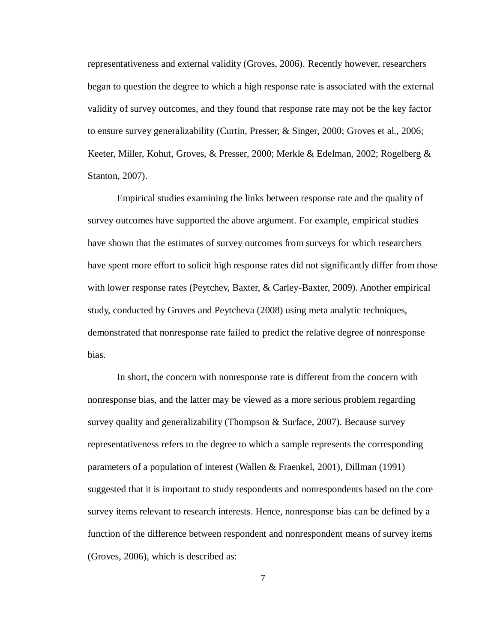representativeness and external validity (Groves, 2006). Recently however, researchers began to question the degree to which a high response rate is associated with the external validity of survey outcomes, and they found that response rate may not be the key factor to ensure survey generalizability (Curtin, Presser, & Singer, 2000; Groves et al., 2006; Keeter, Miller, Kohut, Groves, & Presser, 2000; Merkle & Edelman, 2002; Rogelberg & Stanton, 2007).

Empirical studies examining the links between response rate and the quality of survey outcomes have supported the above argument. For example, empirical studies have shown that the estimates of survey outcomes from surveys for which researchers have spent more effort to solicit high response rates did not significantly differ from those with lower response rates (Peytchev, Baxter, & Carley-Baxter, 2009). Another empirical study, conducted by Groves and Peytcheva (2008) using meta analytic techniques, demonstrated that nonresponse rate failed to predict the relative degree of nonresponse bias.

In short, the concern with nonresponse rate is different from the concern with nonresponse bias, and the latter may be viewed as a more serious problem regarding survey quality and generalizability (Thompson & Surface, 2007). Because survey representativeness refers to the degree to which a sample represents the corresponding parameters of a population of interest (Wallen & Fraenkel, 2001), Dillman (1991) suggested that it is important to study respondents and nonrespondents based on the core survey items relevant to research interests. Hence, nonresponse bias can be defined by a function of the difference between respondent and nonrespondent means of survey items (Groves, 2006), which is described as:

7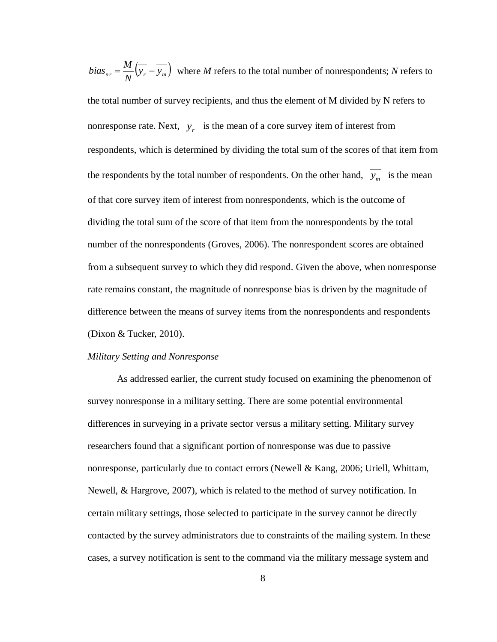$v_{nr} = \frac{m}{N} \left( y_r - y_m \right)$ *N*  $bias_{nr} = \frac{M}{N} (\overline{y_r} - \overline{y_m})$  where *M* refers to the total number of nonrespondents; *N* refers to the total number of survey recipients, and thus the element of M divided by N refers to nonresponse rate. Next,  $y_r$  is the mean of a core survey item of interest from respondents, which is determined by dividing the total sum of the scores of that item from the respondents by the total number of respondents. On the other hand,  $y_m$  is the mean of that core survey item of interest from nonrespondents, which is the outcome of dividing the total sum of the score of that item from the nonrespondents by the total number of the nonrespondents (Groves, 2006). The nonrespondent scores are obtained from a subsequent survey to which they did respond. Given the above, when nonresponse rate remains constant, the magnitude of nonresponse bias is driven by the magnitude of difference between the means of survey items from the nonrespondents and respondents (Dixon & Tucker, 2010).

### <span id="page-15-0"></span>*Military Setting and Nonresponse*

As addressed earlier, the current study focused on examining the phenomenon of survey nonresponse in a military setting. There are some potential environmental differences in surveying in a private sector versus a military setting. Military survey researchers found that a significant portion of nonresponse was due to passive nonresponse, particularly due to contact errors (Newell & Kang, 2006; Uriell, Whittam, Newell, & Hargrove, 2007), which is related to the method of survey notification. In certain military settings, those selected to participate in the survey cannot be directly contacted by the survey administrators due to constraints of the mailing system. In these cases, a survey notification is sent to the command via the military message system and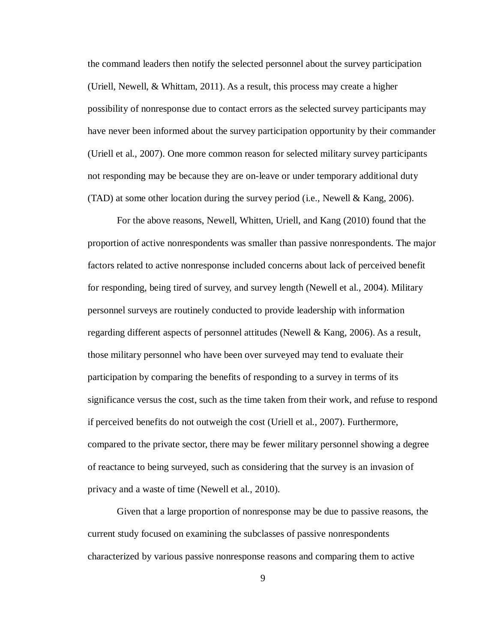the command leaders then notify the selected personnel about the survey participation (Uriell, Newell, & Whittam, 2011). As a result, this process may create a higher possibility of nonresponse due to contact errors as the selected survey participants may have never been informed about the survey participation opportunity by their commander (Uriell et al., 2007). One more common reason for selected military survey participants not responding may be because they are on-leave or under temporary additional duty (TAD) at some other location during the survey period (i.e., Newell & Kang, 2006).

For the above reasons, Newell, Whitten, Uriell, and Kang (2010) found that the proportion of active nonrespondents was smaller than passive nonrespondents. The major factors related to active nonresponse included concerns about lack of perceived benefit for responding, being tired of survey, and survey length (Newell et al., 2004). Military personnel surveys are routinely conducted to provide leadership with information regarding different aspects of personnel attitudes (Newell & Kang, 2006). As a result, those military personnel who have been over surveyed may tend to evaluate their participation by comparing the benefits of responding to a survey in terms of its significance versus the cost, such as the time taken from their work, and refuse to respond if perceived benefits do not outweigh the cost (Uriell et al., 2007). Furthermore, compared to the private sector, there may be fewer military personnel showing a degree of reactance to being surveyed, such as considering that the survey is an invasion of privacy and a waste of time (Newell et al., 2010).

Given that a large proportion of nonresponse may be due to passive reasons, the current study focused on examining the subclasses of passive nonrespondents characterized by various passive nonresponse reasons and comparing them to active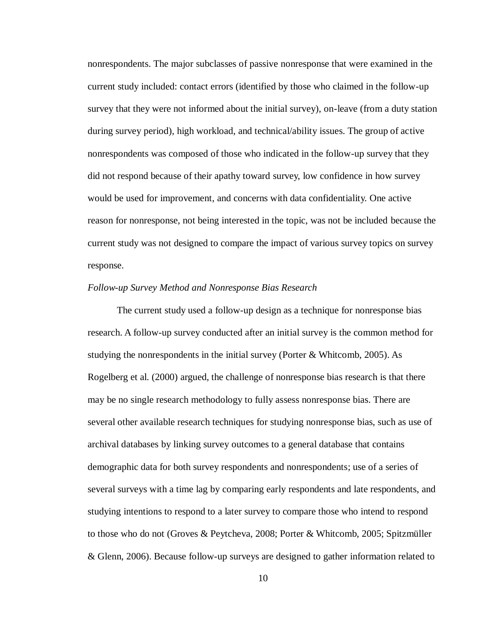nonrespondents. The major subclasses of passive nonresponse that were examined in the current study included: contact errors (identified by those who claimed in the follow-up survey that they were not informed about the initial survey), on-leave (from a duty station during survey period), high workload, and technical/ability issues. The group of active nonrespondents was composed of those who indicated in the follow-up survey that they did not respond because of their apathy toward survey, low confidence in how survey would be used for improvement, and concerns with data confidentiality. One active reason for nonresponse, not being interested in the topic, was not be included because the current study was not designed to compare the impact of various survey topics on survey response.

### <span id="page-17-0"></span>*Follow-up Survey Method and Nonresponse Bias Research*

The current study used a follow-up design as a technique for nonresponse bias research. A follow-up survey conducted after an initial survey is the common method for studying the nonrespondents in the initial survey (Porter & Whitcomb, 2005). As Rogelberg et al. (2000) argued, the challenge of nonresponse bias research is that there may be no single research methodology to fully assess nonresponse bias. There are several other available research techniques for studying nonresponse bias, such as use of archival databases by linking survey outcomes to a general database that contains demographic data for both survey respondents and nonrespondents; use of a series of several surveys with a time lag by comparing early respondents and late respondents, and studying intentions to respond to a later survey to compare those who intend to respond to those who do not (Groves & Peytcheva, 2008; Porter & Whitcomb, 2005; Spitzmüller & Glenn, 2006). Because follow-up surveys are designed to gather information related to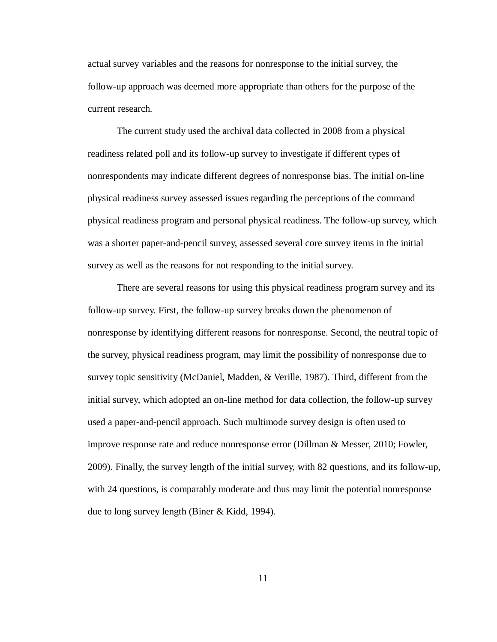actual survey variables and the reasons for nonresponse to the initial survey, the follow-up approach was deemed more appropriate than others for the purpose of the current research.

The current study used the archival data collected in 2008 from a physical readiness related poll and its follow-up survey to investigate if different types of nonrespondents may indicate different degrees of nonresponse bias. The initial on-line physical readiness survey assessed issues regarding the perceptions of the command physical readiness program and personal physical readiness. The follow-up survey, which was a shorter paper-and-pencil survey, assessed several core survey items in the initial survey as well as the reasons for not responding to the initial survey.

There are several reasons for using this physical readiness program survey and its follow-up survey. First, the follow-up survey breaks down the phenomenon of nonresponse by identifying different reasons for nonresponse. Second, the neutral topic of the survey, physical readiness program, may limit the possibility of nonresponse due to survey topic sensitivity (McDaniel, Madden, & Verille, 1987). Third, different from the initial survey, which adopted an on-line method for data collection, the follow-up survey used a paper-and-pencil approach. Such multimode survey design is often used to improve response rate and reduce nonresponse error (Dillman & Messer, 2010; Fowler, 2009). Finally, the survey length of the initial survey, with 82 questions, and its follow-up, with 24 questions, is comparably moderate and thus may limit the potential nonresponse due to long survey length (Biner & Kidd, 1994).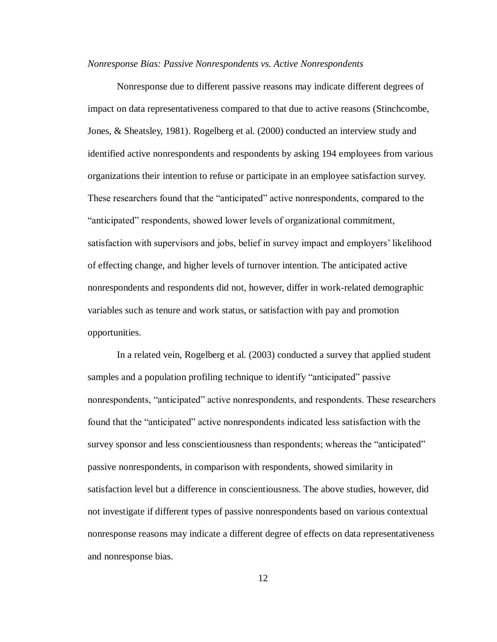#### <span id="page-19-0"></span>*Nonresponse Bias: Passive Nonrespondents vs. Active Nonrespondents*

Nonresponse due to different passive reasons may indicate different degrees of impact on data representativeness compared to that due to active reasons (Stinchcombe, Jones, & Sheatsley, 1981). Rogelberg et al. (2000) conducted an interview study and identified active nonrespondents and respondents by asking 194 employees from various organizations their intention to refuse or participate in an employee satisfaction survey. These researchers found that the "anticipated" active nonrespondents, compared to the "anticipated" respondents, showed lower levels of organizational commitment, satisfaction with supervisors and jobs, belief in survey impact and employers' likelihood of effecting change, and higher levels of turnover intention. The anticipated active nonrespondents and respondents did not, however, differ in work-related demographic variables such as tenure and work status, or satisfaction with pay and promotion opportunities.

In a related vein, Rogelberg et al. (2003) conducted a survey that applied student samples and a population profiling technique to identify "anticipated" passive nonrespondents, "anticipated" active nonrespondents, and respondents. These researchers found that the "anticipated" active nonrespondents indicated less satisfaction with the survey sponsor and less conscientiousness than respondents; whereas the "anticipated" passive nonrespondents, in comparison with respondents, showed similarity in satisfaction level but a difference in conscientiousness. The above studies, however, did not investigate if different types of passive nonrespondents based on various contextual nonresponse reasons may indicate a different degree of effects on data representativeness and nonresponse bias.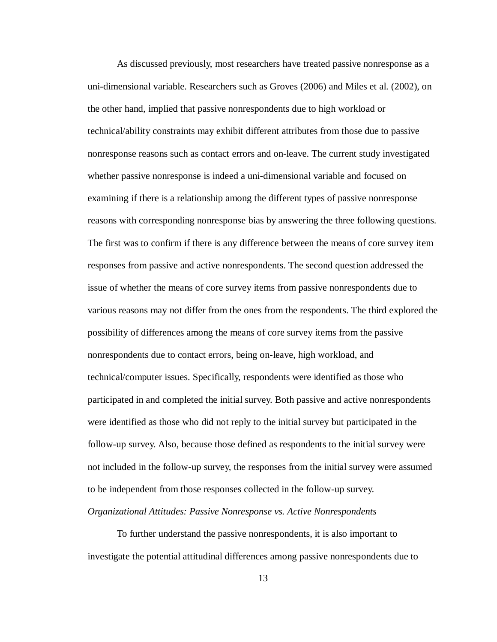As discussed previously, most researchers have treated passive nonresponse as a uni-dimensional variable. Researchers such as Groves (2006) and Miles et al. (2002), on the other hand, implied that passive nonrespondents due to high workload or technical/ability constraints may exhibit different attributes from those due to passive nonresponse reasons such as contact errors and on-leave. The current study investigated whether passive nonresponse is indeed a uni-dimensional variable and focused on examining if there is a relationship among the different types of passive nonresponse reasons with corresponding nonresponse bias by answering the three following questions. The first was to confirm if there is any difference between the means of core survey item responses from passive and active nonrespondents. The second question addressed the issue of whether the means of core survey items from passive nonrespondents due to various reasons may not differ from the ones from the respondents. The third explored the possibility of differences among the means of core survey items from the passive nonrespondents due to contact errors, being on-leave, high workload, and technical/computer issues. Specifically, respondents were identified as those who participated in and completed the initial survey. Both passive and active nonrespondents were identified as those who did not reply to the initial survey but participated in the follow-up survey. Also, because those defined as respondents to the initial survey were not included in the follow-up survey, the responses from the initial survey were assumed to be independent from those responses collected in the follow-up survey. *Organizational Attitudes: Passive Nonresponse vs. Active Nonrespondents*

<span id="page-20-0"></span>To further understand the passive nonrespondents, it is also important to investigate the potential attitudinal differences among passive nonrespondents due to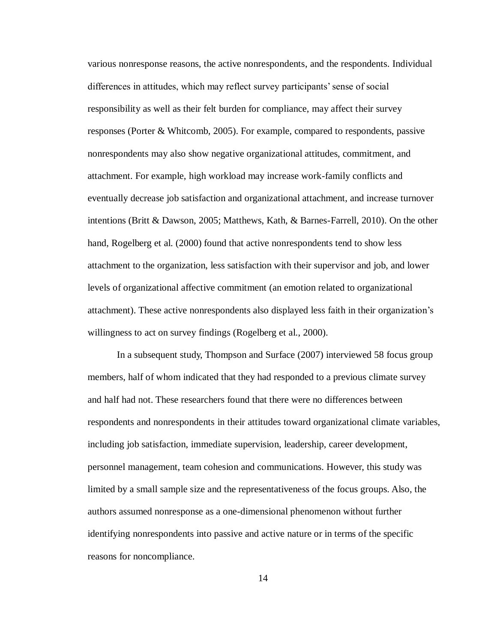various nonresponse reasons, the active nonrespondents, and the respondents. Individual differences in attitudes, which may reflect survey participants' sense of social responsibility as well as their felt burden for compliance, may affect their survey responses (Porter & Whitcomb, 2005). For example, compared to respondents, passive nonrespondents may also show negative organizational attitudes, commitment, and attachment. For example, high workload may increase work-family conflicts and eventually decrease job satisfaction and organizational attachment, and increase turnover intentions (Britt & Dawson, 2005; Matthews, Kath, & Barnes-Farrell, 2010). On the other hand, Rogelberg et al. (2000) found that active nonrespondents tend to show less attachment to the organization, less satisfaction with their supervisor and job, and lower levels of organizational affective commitment (an emotion related to organizational attachment). These active nonrespondents also displayed less faith in their organization's willingness to act on survey findings (Rogelberg et al., 2000).

In a subsequent study, Thompson and Surface (2007) interviewed 58 focus group members, half of whom indicated that they had responded to a previous climate survey and half had not. These researchers found that there were no differences between respondents and nonrespondents in their attitudes toward organizational climate variables, including job satisfaction, immediate supervision, leadership, career development, personnel management, team cohesion and communications. However, this study was limited by a small sample size and the representativeness of the focus groups. Also, the authors assumed nonresponse as a one-dimensional phenomenon without further identifying nonrespondents into passive and active nature or in terms of the specific reasons for noncompliance.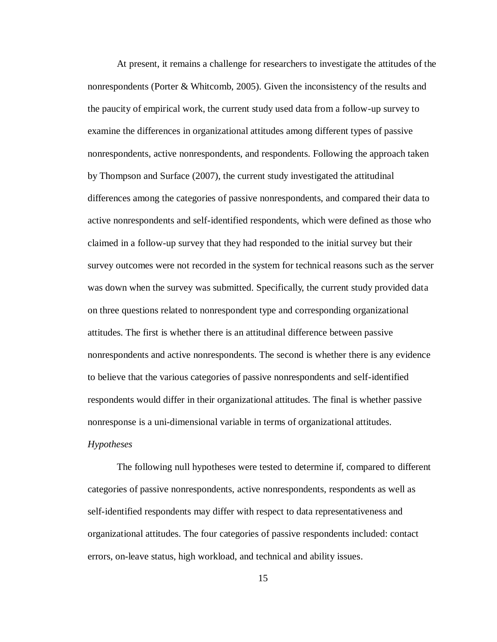At present, it remains a challenge for researchers to investigate the attitudes of the nonrespondents (Porter & Whitcomb, 2005). Given the inconsistency of the results and the paucity of empirical work, the current study used data from a follow-up survey to examine the differences in organizational attitudes among different types of passive nonrespondents, active nonrespondents, and respondents. Following the approach taken by Thompson and Surface (2007), the current study investigated the attitudinal differences among the categories of passive nonrespondents, and compared their data to active nonrespondents and self-identified respondents, which were defined as those who claimed in a follow-up survey that they had responded to the initial survey but their survey outcomes were not recorded in the system for technical reasons such as the server was down when the survey was submitted. Specifically, the current study provided data on three questions related to nonrespondent type and corresponding organizational attitudes. The first is whether there is an attitudinal difference between passive nonrespondents and active nonrespondents. The second is whether there is any evidence to believe that the various categories of passive nonrespondents and self-identified respondents would differ in their organizational attitudes. The final is whether passive nonresponse is a uni-dimensional variable in terms of organizational attitudes.

### <span id="page-22-0"></span>*Hypotheses*

The following null hypotheses were tested to determine if, compared to different categories of passive nonrespondents, active nonrespondents, respondents as well as self-identified respondents may differ with respect to data representativeness and organizational attitudes. The four categories of passive respondents included: contact errors, on-leave status, high workload, and technical and ability issues.

15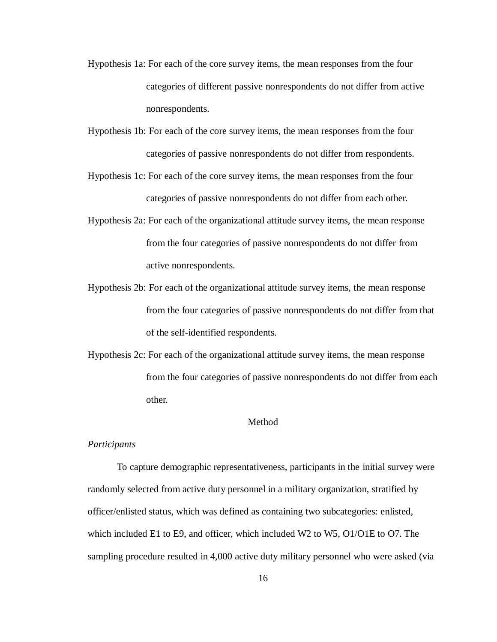- Hypothesis 1a: For each of the core survey items, the mean responses from the four categories of different passive nonrespondents do not differ from active nonrespondents.
- Hypothesis 1b: For each of the core survey items, the mean responses from the four categories of passive nonrespondents do not differ from respondents.
- Hypothesis 1c: For each of the core survey items, the mean responses from the four categories of passive nonrespondents do not differ from each other.
- Hypothesis 2a: For each of the organizational attitude survey items, the mean response from the four categories of passive nonrespondents do not differ from active nonrespondents.
- Hypothesis 2b: For each of the organizational attitude survey items, the mean response from the four categories of passive nonrespondents do not differ from that of the self-identified respondents.
- Hypothesis 2c: For each of the organizational attitude survey items, the mean response from the four categories of passive nonrespondents do not differ from each other.

#### Method

### <span id="page-23-1"></span><span id="page-23-0"></span>*Participants*

To capture demographic representativeness, participants in the initial survey were randomly selected from active duty personnel in a military organization, stratified by officer/enlisted status, which was defined as containing two subcategories: enlisted, which included E1 to E9, and officer, which included W2 to W5, O1/O1E to O7. The sampling procedure resulted in 4,000 active duty military personnel who were asked (via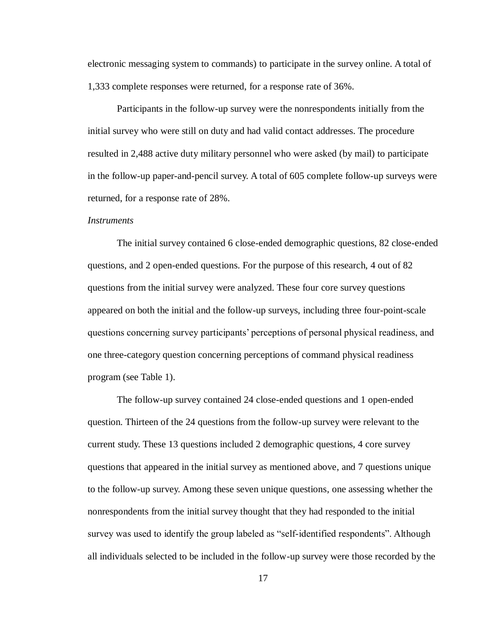electronic messaging system to commands) to participate in the survey online. A total of 1,333 complete responses were returned, for a response rate of 36%.

Participants in the follow-up survey were the nonrespondents initially from the initial survey who were still on duty and had valid contact addresses. The procedure resulted in 2,488 active duty military personnel who were asked (by mail) to participate in the follow-up paper-and-pencil survey. A total of 605 complete follow-up surveys were returned, for a response rate of 28%.

#### <span id="page-24-0"></span>*Instruments*

The initial survey contained 6 close-ended demographic questions, 82 close-ended questions, and 2 open-ended questions. For the purpose of this research, 4 out of 82 questions from the initial survey were analyzed. These four core survey questions appeared on both the initial and the follow-up surveys, including three four-point-scale questions concerning survey participants' perceptions of personal physical readiness, and one three-category question concerning perceptions of command physical readiness program (see Table 1).

The follow-up survey contained 24 close-ended questions and 1 open-ended question. Thirteen of the 24 questions from the follow-up survey were relevant to the current study. These 13 questions included 2 demographic questions, 4 core survey questions that appeared in the initial survey as mentioned above, and 7 questions unique to the follow-up survey. Among these seven unique questions, one assessing whether the nonrespondents from the initial survey thought that they had responded to the initial survey was used to identify the group labeled as "self-identified respondents". Although all individuals selected to be included in the follow-up survey were those recorded by the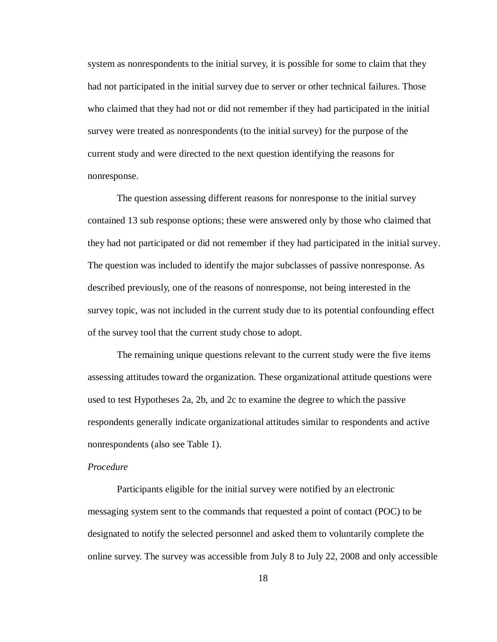system as nonrespondents to the initial survey, it is possible for some to claim that they had not participated in the initial survey due to server or other technical failures. Those who claimed that they had not or did not remember if they had participated in the initial survey were treated as nonrespondents (to the initial survey) for the purpose of the current study and were directed to the next question identifying the reasons for nonresponse.

The question assessing different reasons for nonresponse to the initial survey contained 13 sub response options; these were answered only by those who claimed that they had not participated or did not remember if they had participated in the initial survey. The question was included to identify the major subclasses of passive nonresponse. As described previously, one of the reasons of nonresponse, not being interested in the survey topic, was not included in the current study due to its potential confounding effect of the survey tool that the current study chose to adopt.

The remaining unique questions relevant to the current study were the five items assessing attitudes toward the organization. These organizational attitude questions were used to test Hypotheses 2a, 2b, and 2c to examine the degree to which the passive respondents generally indicate organizational attitudes similar to respondents and active nonrespondents (also see Table 1).

### <span id="page-25-0"></span>*Procedure*

Participants eligible for the initial survey were notified by an electronic messaging system sent to the commands that requested a point of contact (POC) to be designated to notify the selected personnel and asked them to voluntarily complete the online survey. The survey was accessible from July 8 to July 22, 2008 and only accessible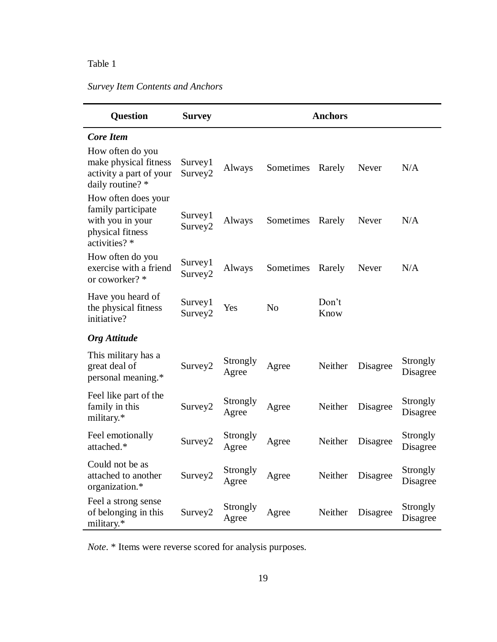# *Survey Item Contents and Anchors*

| Question                                                                                           | <b>Survey</b>                  |                   |                | <b>Anchors</b> |          |                      |  |  |  |
|----------------------------------------------------------------------------------------------------|--------------------------------|-------------------|----------------|----------------|----------|----------------------|--|--|--|
| <b>Core Item</b>                                                                                   |                                |                   |                |                |          |                      |  |  |  |
| How often do you<br>make physical fitness<br>activity a part of your<br>daily routine? *           | Survey1<br>Survey <sub>2</sub> | Always            | Sometimes      | Rarely         | Never    | N/A                  |  |  |  |
| How often does your<br>family participate<br>with you in your<br>physical fitness<br>activities? * | Survey1<br>Survey2             | Always            | Sometimes      | Rarely         | Never    | N/A                  |  |  |  |
| How often do you<br>exercise with a friend<br>or coworker? *                                       | Survey1<br>Survey2             | Always            | Sometimes      | Rarely         | Never    | N/A                  |  |  |  |
| Have you heard of<br>the physical fitness<br>initiative?                                           | Survey1<br>Survey2             | Yes               | N <sub>o</sub> | Don't<br>Know  |          |                      |  |  |  |
| <b>Org</b> Attitude                                                                                |                                |                   |                |                |          |                      |  |  |  |
| This military has a<br>great deal of<br>personal meaning.*                                         | Survey <sub>2</sub>            | Strongly<br>Agree | Agree          | Neither        | Disagree | Strongly<br>Disagree |  |  |  |
| Feel like part of the<br>family in this<br>military.*                                              | Survey2                        | Strongly<br>Agree | Agree          | Neither        | Disagree | Strongly<br>Disagree |  |  |  |
| Feel emotionally<br>attached.*                                                                     | Survey2                        | Strongly<br>Agree | Agree          | Neither        | Disagree | Strongly<br>Disagree |  |  |  |
| Could not be as<br>attached to another<br>organization.*                                           | Survey2                        | Strongly<br>Agree | Agree          | Neither        | Disagree | Strongly<br>Disagree |  |  |  |
| Feel a strong sense<br>of belonging in this<br>military.*                                          | Survey2                        | Strongly<br>Agree | Agree          | Neither        | Disagree | Strongly<br>Disagree |  |  |  |

*Note*. \* Items were reverse scored for analysis purposes.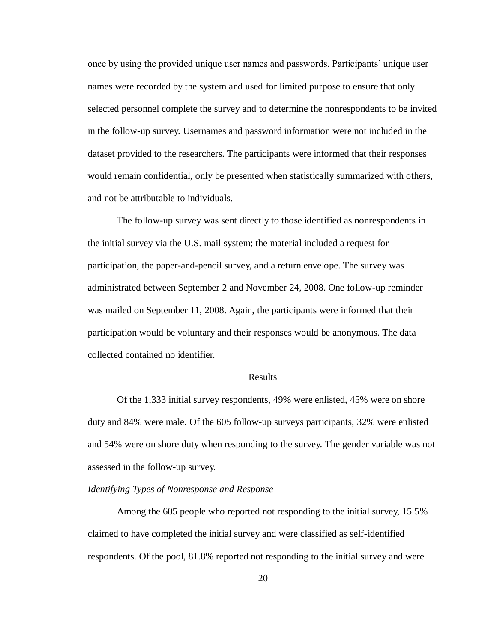once by using the provided unique user names and passwords. Participants' unique user names were recorded by the system and used for limited purpose to ensure that only selected personnel complete the survey and to determine the nonrespondents to be invited in the follow-up survey. Usernames and password information were not included in the dataset provided to the researchers. The participants were informed that their responses would remain confidential, only be presented when statistically summarized with others, and not be attributable to individuals.

The follow-up survey was sent directly to those identified as nonrespondents in the initial survey via the U.S. mail system; the material included a request for participation, the paper-and-pencil survey, and a return envelope. The survey was administrated between September 2 and November 24, 2008. One follow-up reminder was mailed on September 11, 2008. Again, the participants were informed that their participation would be voluntary and their responses would be anonymous. The data collected contained no identifier.

### Results

<span id="page-27-0"></span>Of the 1,333 initial survey respondents, 49% were enlisted, 45% were on shore duty and 84% were male. Of the 605 follow-up surveys participants, 32% were enlisted and 54% were on shore duty when responding to the survey. The gender variable was not assessed in the follow-up survey.

### <span id="page-27-1"></span>*Identifying Types of Nonresponse and Response*

Among the 605 people who reported not responding to the initial survey, 15.5% claimed to have completed the initial survey and were classified as self-identified respondents. Of the pool, 81.8% reported not responding to the initial survey and were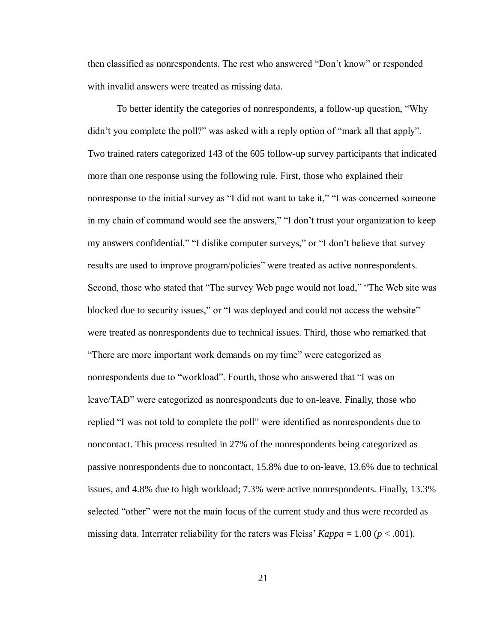then classified as nonrespondents. The rest who answered "Don't know" or responded with invalid answers were treated as missing data.

To better identify the categories of nonrespondents, a follow-up question, "Why didn't you complete the poll?" was asked with a reply option of "mark all that apply". Two trained raters categorized 143 of the 605 follow-up survey participants that indicated more than one response using the following rule. First, those who explained their nonresponse to the initial survey as "I did not want to take it," "I was concerned someone in my chain of command would see the answers," "I don't trust your organization to keep my answers confidential," "I dislike computer surveys," or "I don't believe that survey results are used to improve program/policies" were treated as active nonrespondents. Second, those who stated that "The survey Web page would not load," "The Web site was blocked due to security issues," or "I was deployed and could not access the website" were treated as nonrespondents due to technical issues. Third, those who remarked that "There are more important work demands on my time" were categorized as nonrespondents due to "workload". Fourth, those who answered that "I was on leave/TAD" were categorized as nonrespondents due to on-leave. Finally, those who replied "I was not told to complete the poll" were identified as nonrespondents due to noncontact. This process resulted in 27% of the nonrespondents being categorized as passive nonrespondents due to noncontact, 15.8% due to on-leave, 13.6% due to technical issues, and 4.8% due to high workload; 7.3% were active nonrespondents. Finally, 13.3% selected "other" were not the main focus of the current study and thus were recorded as missing data. Interrater reliability for the raters was Fleiss'  $Kappa = 1.00 (p < .001)$ .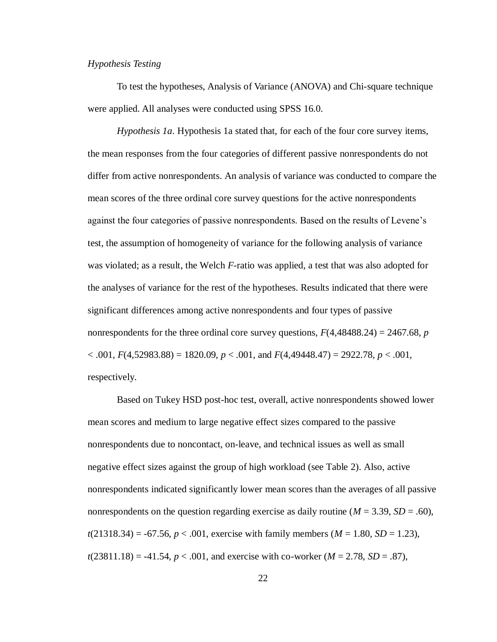### <span id="page-29-0"></span>*Hypothesis Testing*

To test the hypotheses, Analysis of Variance (ANOVA) and Chi-square technique were applied. All analyses were conducted using SPSS 16.0.

<span id="page-29-1"></span>*Hypothesis 1a*. Hypothesis 1a stated that, for each of the four core survey items, the mean responses from the four categories of different passive nonrespondents do not differ from active nonrespondents. An analysis of variance was conducted to compare the mean scores of the three ordinal core survey questions for the active nonrespondents against the four categories of passive nonrespondents. Based on the results of Levene's test, the assumption of homogeneity of variance for the following analysis of variance was violated; as a result, the Welch *F*-ratio was applied, a test that was also adopted for the analyses of variance for the rest of the hypotheses. Results indicated that there were significant differences among active nonrespondents and four types of passive nonrespondents for the three ordinal core survey questions,  $F(4,48488.24) = 2467.68$ , *p* < .001, *F*(4,52983.88) = 1820.09, *p* < .001, and *F*(4,49448.47) = 2922.78, *p* < .001, respectively.

Based on Tukey HSD post-hoc test, overall, active nonrespondents showed lower mean scores and medium to large negative effect sizes compared to the passive nonrespondents due to noncontact, on-leave, and technical issues as well as small negative effect sizes against the group of high workload (see Table 2). Also, active nonrespondents indicated significantly lower mean scores than the averages of all passive nonrespondents on the question regarding exercise as daily routine  $(M = 3.39, SD = .60)$ ,  $t(21318.34) = -67.56$ ,  $p < .001$ , exercise with family members ( $M = 1.80$ ,  $SD = 1.23$ ),  $t(23811.18) = -41.54, p < .001$ , and exercise with co-worker  $(M = 2.78, SD = .87)$ ,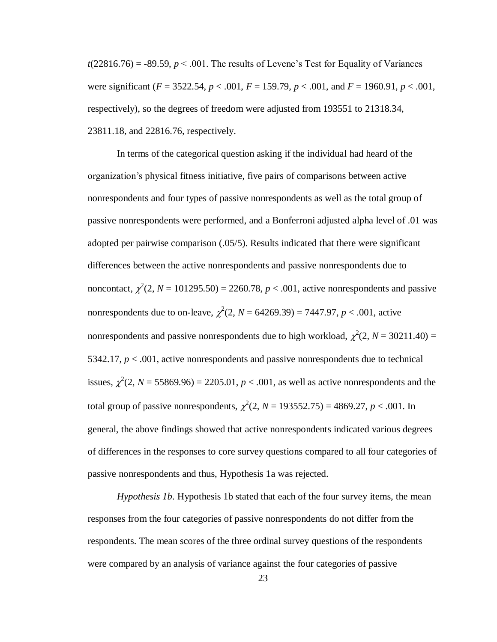$t(22816.76) = -89.59$ ,  $p < .001$ . The results of Levene's Test for Equality of Variances were significant (*F* = 3522.54, *p* < .001, *F* = 159.79, *p* < .001, and *F* = 1960.91, *p* < .001, respectively), so the degrees of freedom were adjusted from 193551 to 21318.34, 23811.18, and 22816.76, respectively.

In terms of the categorical question asking if the individual had heard of the organization's physical fitness initiative, five pairs of comparisons between active nonrespondents and four types of passive nonrespondents as well as the total group of passive nonrespondents were performed, and a Bonferroni adjusted alpha level of .01 was adopted per pairwise comparison (.05/5). Results indicated that there were significant differences between the active nonrespondents and passive nonrespondents due to noncontact,  $\chi^2(2, N = 101295.50) = 2260.78$ ,  $p < .001$ , active nonrespondents and passive nonrespondents due to on-leave,  $\chi^2(2, N = 64269.39) = 7447.97, p < .001$ , active nonrespondents and passive nonrespondents due to high workload,  $\chi^2(2, N = 30211.40) =$ 5342.17, *p* < .001, active nonrespondents and passive nonrespondents due to technical issues,  $\chi^2(2, N = 55869.96) = 2205.01, p < .001$ , as well as active nonrespondents and the total group of passive nonrespondents,  $\chi^2(2, N = 193552.75) = 4869.27, p < .001$ . In general, the above findings showed that active nonrespondents indicated various degrees of differences in the responses to core survey questions compared to all four categories of passive nonrespondents and thus, Hypothesis 1a was rejected.

*Hypothesis 1b*. Hypothesis 1b stated that each of the four survey items, the mean responses from the four categories of passive nonrespondents do not differ from the respondents. The mean scores of the three ordinal survey questions of the respondents were compared by an analysis of variance against the four categories of passive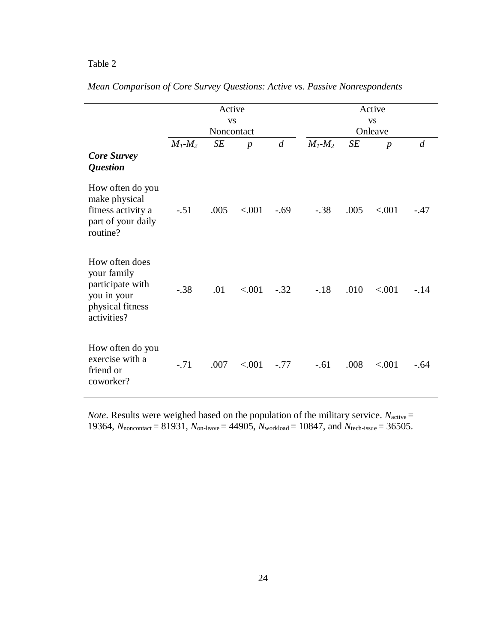|                                                                                                     |               | Active<br><b>VS</b> |                  |                |               |      | Active<br><b>VS</b> |                |
|-----------------------------------------------------------------------------------------------------|---------------|---------------------|------------------|----------------|---------------|------|---------------------|----------------|
|                                                                                                     |               | Noncontact          |                  |                |               |      | Onleave             |                |
|                                                                                                     | $M_1$ - $M_2$ | SЕ                  | $\boldsymbol{p}$ | $\overline{d}$ | $M_1$ - $M_2$ | SE   | $\boldsymbol{p}$    | $\overline{d}$ |
| <b>Core Survey</b><br><b>Question</b>                                                               |               |                     |                  |                |               |      |                     |                |
| How often do you<br>make physical<br>fitness activity a<br>part of your daily<br>routine?           | $-.51$        | .005                | < .001           | $-.69$         | $-.38$        | .005 | < .001              | $-.47$         |
| How often does<br>your family<br>participate with<br>you in your<br>physical fitness<br>activities? | $-.38$        | .01                 | < .001           | $-.32$         | $-.18$        | .010 | < 0.001             | $-.14$         |
| How often do you<br>exercise with a<br>friend or<br>coworker?                                       | $-.71$        | .007                | < .001           | $-.77$         | $-.61$        | .008 | < .001              | $-.64$         |

|  |  |  |  |  |  | Mean Comparison of Core Survey Questions: Active vs. Passive Nonrespondents |  |  |  |  |
|--|--|--|--|--|--|-----------------------------------------------------------------------------|--|--|--|--|
|--|--|--|--|--|--|-----------------------------------------------------------------------------|--|--|--|--|

*Note*. Results were weighed based on the population of the military service.  $N_{\text{active}} =$ 19364,  $N_{\text{noncontact}} = 81931$ ,  $N_{\text{on-leave}} = 44905$ ,  $N_{\text{workload}} = 10847$ , and  $N_{\text{tech-issue}} = 36505$ .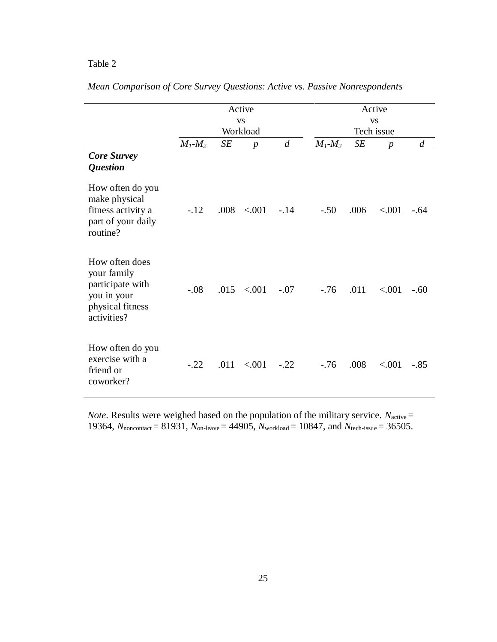|                                                                                                     |               |      | Active<br><b>VS</b> |                |               |      | Active<br><b>VS</b> |                  |
|-----------------------------------------------------------------------------------------------------|---------------|------|---------------------|----------------|---------------|------|---------------------|------------------|
|                                                                                                     |               |      | Workload            |                |               |      | Tech issue          |                  |
|                                                                                                     | $M_1$ - $M_2$ | SE   | $\boldsymbol{p}$    | $\overline{d}$ | $M_1$ - $M_2$ | SE   | $\boldsymbol{p}$    | $\boldsymbol{d}$ |
| <b>Core Survey</b><br><b>Question</b>                                                               |               |      |                     |                |               |      |                     |                  |
| How often do you<br>make physical<br>fitness activity a<br>part of your daily<br>routine?           | $-.12$        |      | $.008$ < 001        | $-.14$         | $-.50$        | .006 | < .001              | $-.64$           |
| How often does<br>your family<br>participate with<br>you in your<br>physical fitness<br>activities? | $-.08$        |      | $.015$ < 0.001      | $-.07$         | $-.76$        | .011 | < 0.001             | $-.60$           |
| How often do you<br>exercise with a<br>friend or<br>coworker?                                       | $-.22$        | .011 | < 0.001             | $-.22$         | $-76$         | .008 | < .001              | $-.85$           |

|  |  |  |  |  |  |  |  |  | Mean Comparison of Core Survey Questions: Active vs. Passive Nonrespondents |
|--|--|--|--|--|--|--|--|--|-----------------------------------------------------------------------------|
|--|--|--|--|--|--|--|--|--|-----------------------------------------------------------------------------|

*Note*. Results were weighed based on the population of the military service.  $N_{\text{active}} =$ 19364,  $N_{\text{noncontact}} = 81931$ ,  $N_{\text{on-leave}} = 44905$ ,  $N_{\text{workload}} = 10847$ , and  $N_{\text{tech-issue}} = 36505$ .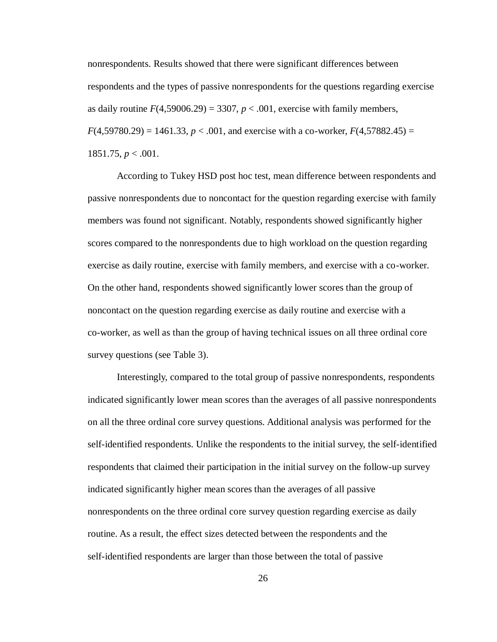<span id="page-33-0"></span>nonrespondents. Results showed that there were significant differences between respondents and the types of passive nonrespondents for the questions regarding exercise as daily routine  $F(4,59006.29) = 3307$ ,  $p < .001$ , exercise with family members,  $F(4,59780.29) = 1461.33, p < .001$ , and exercise with a co-worker,  $F(4,57882.45) =$  $1851.75, p < .001.$ 

According to Tukey HSD post hoc test, mean difference between respondents and passive nonrespondents due to noncontact for the question regarding exercise with family members was found not significant. Notably, respondents showed significantly higher scores compared to the nonrespondents due to high workload on the question regarding exercise as daily routine, exercise with family members, and exercise with a co-worker. On the other hand, respondents showed significantly lower scores than the group of noncontact on the question regarding exercise as daily routine and exercise with a co-worker, as well as than the group of having technical issues on all three ordinal core survey questions (see Table 3).

Interestingly, compared to the total group of passive nonrespondents, respondents indicated significantly lower mean scores than the averages of all passive nonrespondents on all the three ordinal core survey questions. Additional analysis was performed for the self-identified respondents. Unlike the respondents to the initial survey, the self-identified respondents that claimed their participation in the initial survey on the follow-up survey indicated significantly higher mean scores than the averages of all passive nonrespondents on the three ordinal core survey question regarding exercise as daily routine. As a result, the effect sizes detected between the respondents and the self-identified respondents are larger than those between the total of passive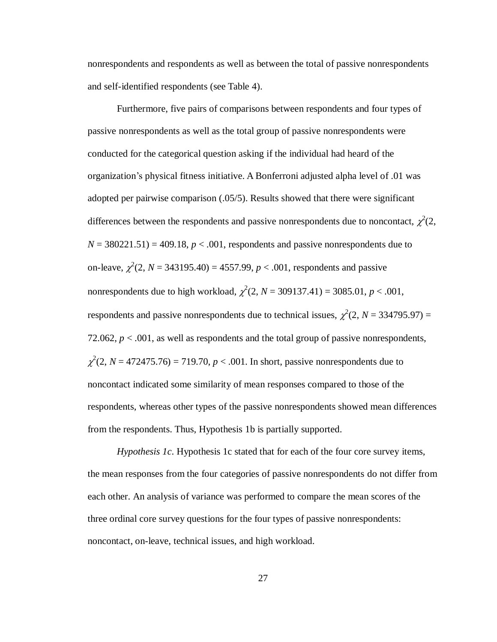nonrespondents and respondents as well as between the total of passive nonrespondents and self-identified respondents (see Table 4).

Furthermore, five pairs of comparisons between respondents and four types of passive nonrespondents as well as the total group of passive nonrespondents were conducted for the categorical question asking if the individual had heard of the organization's physical fitness initiative. A Bonferroni adjusted alpha level of .01 was adopted per pairwise comparison (.05/5). Results showed that there were significant differences between the respondents and passive nonrespondents due to noncontact,  $\chi^2(2, \chi)$  $N = 380221.51$  = 409.18,  $p < .001$ , respondents and passive nonrespondents due to on-leave,  $\chi^2(2, N = 343195.40) = 4557.99, p < .001$ , respondents and passive nonrespondents due to high workload,  $\chi^2(2, N = 309137.41) = 3085.01, p < .001$ , respondents and passive nonrespondents due to technical issues,  $\chi^2(2, N = 334795.97) =$ 72.062,  $p < .001$ , as well as respondents and the total group of passive nonrespondents,  $\chi^2$ (2, *N* = 472475.76) = 719.70, *p* < .001. In short, passive nonrespondents due to noncontact indicated some similarity of mean responses compared to those of the respondents, whereas other types of the passive nonrespondents showed mean differences from the respondents. Thus, Hypothesis 1b is partially supported.

<span id="page-34-0"></span>*Hypothesis 1c.* Hypothesis 1c stated that for each of the four core survey items, the mean responses from the four categories of passive nonrespondents do not differ from each other. An analysis of variance was performed to compare the mean scores of the three ordinal core survey questions for the four types of passive nonrespondents: noncontact, on-leave, technical issues, and high workload.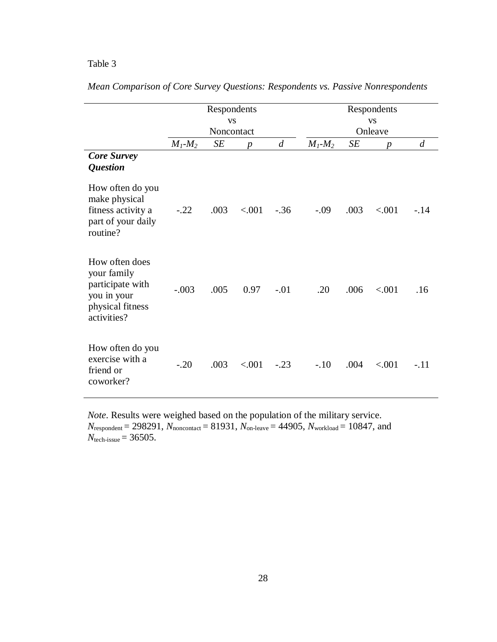|                                                                                                     |               | Respondents             |                  |                  |               |                      | Respondents      |                  |  |  |  |
|-----------------------------------------------------------------------------------------------------|---------------|-------------------------|------------------|------------------|---------------|----------------------|------------------|------------------|--|--|--|
|                                                                                                     |               | <b>VS</b><br>Noncontact |                  |                  |               | <b>VS</b><br>Onleave |                  |                  |  |  |  |
|                                                                                                     | $M_1$ - $M_2$ | SE                      | $\boldsymbol{p}$ | $\boldsymbol{d}$ | $M_1$ - $M_2$ | SE                   | $\boldsymbol{p}$ | $\boldsymbol{d}$ |  |  |  |
| <b>Core Survey</b><br><b>Question</b>                                                               |               |                         |                  |                  |               |                      |                  |                  |  |  |  |
| How often do you<br>make physical<br>fitness activity a<br>part of your daily<br>routine?           | $-.22$        | .003                    | < 0.01           | $-.36$           | $-.09$        | .003                 | < .001           | $-.14$           |  |  |  |
| How often does<br>your family<br>participate with<br>you in your<br>physical fitness<br>activities? | $-.003$       | .005                    | 0.97             | $-.01$           | .20           | .006                 | < .001           | .16              |  |  |  |
| How often do you<br>exercise with a<br>friend or<br>coworker?                                       | $-.20$        | .003                    | < .001           | $-.23$           | $-.10$        | .004                 | < .001           | $-.11$           |  |  |  |

*Mean Comparison of Core Survey Questions: Respondents vs. Passive Nonrespondents*

*Note*. Results were weighed based on the population of the military service.  $N_{\text{respondent}} = 298291, N_{\text{noncontact}} = 81931, N_{\text{on-leave}} = 44905, N_{\text{workload}} = 10847, \text{ and}$ *N*tech-issue = 36505.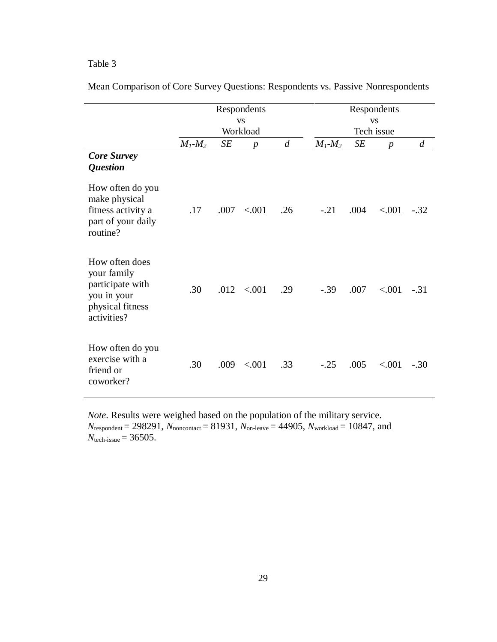|                                                                                                     |               |      | Respondents           |                  |                         |      | Respondents      |                |  |  |
|-----------------------------------------------------------------------------------------------------|---------------|------|-----------------------|------------------|-------------------------|------|------------------|----------------|--|--|
|                                                                                                     |               |      | <b>VS</b><br>Workload |                  | <b>VS</b><br>Tech issue |      |                  |                |  |  |
|                                                                                                     | $M_1$ - $M_2$ | SE   | $\boldsymbol{p}$      | $\boldsymbol{d}$ | $M_1$ - $M_2$           | SE   | $\boldsymbol{p}$ | $\overline{d}$ |  |  |
| <b>Core Survey</b><br><i><b>Question</b></i>                                                        |               |      |                       |                  |                         |      |                  |                |  |  |
| How often do you<br>make physical<br>fitness activity a<br>part of your daily<br>routine?           | .17           | .007 | < .001                | .26              | $-.21$                  | .004 | < .001           | $-.32$         |  |  |
| How often does<br>your family<br>participate with<br>you in your<br>physical fitness<br>activities? | .30           |      | $.012 \le 0.001$      | .29              | $-.39$                  | .007 | < .001           | $-.31$         |  |  |
| How often do you<br>exercise with a<br>friend or<br>coworker?                                       | .30           | .009 | < .001                | .33              | $-.25$                  | .005 | < .001           | $-.30$         |  |  |

Mean Comparison of Core Survey Questions: Respondents vs. Passive Nonrespondents

*Note*. Results were weighed based on the population of the military service.  $N_{\text{respondent}} = 298291, N_{\text{noncontact}} = 81931, N_{\text{on-leave}} = 44905, N_{\text{workload}} = 10847, \text{ and}$  $N_{\text{tech-issue}} = 36505.$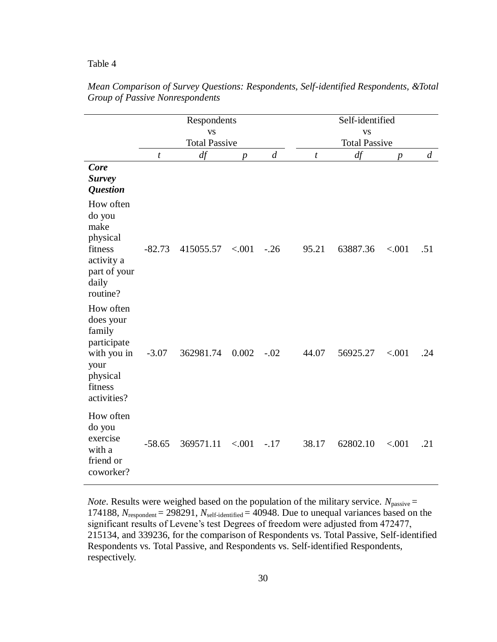|                                                                                                              |                  | Respondents<br><b>VS</b><br><b>Total Passive</b> |                  |        |                  | Self-identified<br><b>VS</b><br><b>Total Passive</b> |                  |                |  |  |
|--------------------------------------------------------------------------------------------------------------|------------------|--------------------------------------------------|------------------|--------|------------------|------------------------------------------------------|------------------|----------------|--|--|
|                                                                                                              | $\boldsymbol{t}$ | df                                               | $\boldsymbol{p}$ | d      | $\boldsymbol{t}$ | df                                                   | $\boldsymbol{p}$ | $\overline{d}$ |  |  |
| Core<br><b>Survey</b><br><b>Question</b>                                                                     |                  |                                                  |                  |        |                  |                                                      |                  |                |  |  |
| How often<br>do you<br>make<br>physical<br>fitness<br>activity a<br>part of your<br>daily<br>routine?        | $-82.73$         | 415055.57                                        | < .001           | $-.26$ | 95.21            | 63887.36                                             | < .001           | .51            |  |  |
| How often<br>does your<br>family<br>participate<br>with you in<br>your<br>physical<br>fitness<br>activities? | $-3.07$          | 362981.74                                        | 0.002            | $-.02$ | 44.07            | 56925.27                                             | < .001           | .24            |  |  |
| How often<br>do you<br>exercise<br>with a<br>friend or<br>coworker?                                          | $-58.65$         | 369571.11                                        | < .001           | $-.17$ | 38.17            | 62802.10                                             | < .001           | .21            |  |  |

*Mean Comparison of Survey Questions: Respondents, Self-identified Respondents, &Total Group of Passive Nonrespondents*

*Note*. Results were weighed based on the population of the military service.  $N_{\text{passive}} =$ 174188, *N*respondent = 298291, *N*self-identified = 40948. Due to unequal variances based on the significant results of Levene's test Degrees of freedom were adjusted from 472477, 215134, and 339236, for the comparison of Respondents vs. Total Passive, Self-identified Respondents vs. Total Passive, and Respondents vs. Self-identified Respondents, respectively.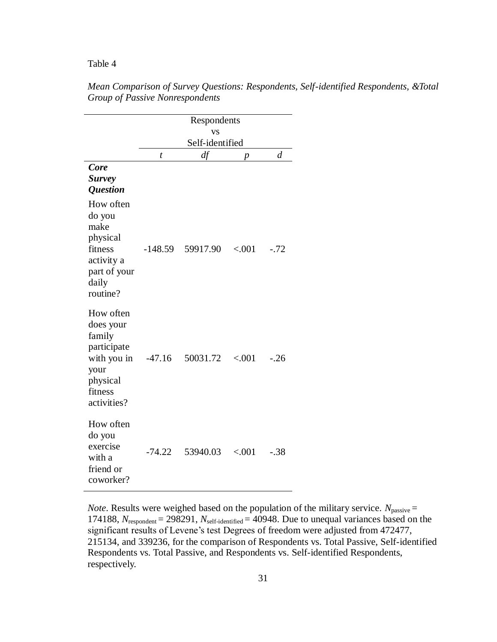|                            |          | <b>VS</b><br>Self-identified |                |                |
|----------------------------|----------|------------------------------|----------------|----------------|
|                            | t        | df                           | $\overline{p}$ | $\overline{d}$ |
| Core                       |          |                              |                |                |
| <b>Survey</b>              |          |                              |                |                |
| <i><b>Question</b></i>     |          |                              |                |                |
| How often                  |          |                              |                |                |
| do you                     |          |                              |                |                |
| make                       |          |                              |                |                |
| physical                   |          |                              |                |                |
| fitness                    |          | -148.59 59917.90             | ${<}001$       | $-.72$         |
| activity a<br>part of your |          |                              |                |                |
| daily                      |          |                              |                |                |
| routine?                   |          |                              |                |                |
|                            |          |                              |                |                |
| How often                  |          |                              |                |                |
| does your                  |          |                              |                |                |
| family                     |          |                              |                |                |
| participate<br>with you in | $-47.16$ | 50031.72                     | < .001         | $-.26$         |
| your                       |          |                              |                |                |
| physical                   |          |                              |                |                |
| fitness                    |          |                              |                |                |
| activities?                |          |                              |                |                |
|                            |          |                              |                |                |
| How often<br>do you        |          |                              |                |                |
| exercise                   |          |                              |                |                |
| with a                     | $-74.22$ | 53940.03                     | ${<}001$       | $-.38$         |
| friend or                  |          |                              |                |                |
| coworker?                  |          |                              |                |                |

*Mean Comparison of Survey Questions: Respondents, Self-identified Respondents, &Total Group of Passive Nonrespondents*

*Note*. Results were weighed based on the population of the military service.  $N_{\text{passive}} =$ 174188, *N*respondent = 298291, *N*self-identified = 40948. Due to unequal variances based on the significant results of Levene's test Degrees of freedom were adjusted from 472477, 215134, and 339236, for the comparison of Respondents vs. Total Passive, Self-identified Respondents vs. Total Passive, and Respondents vs. Self-identified Respondents, respectively.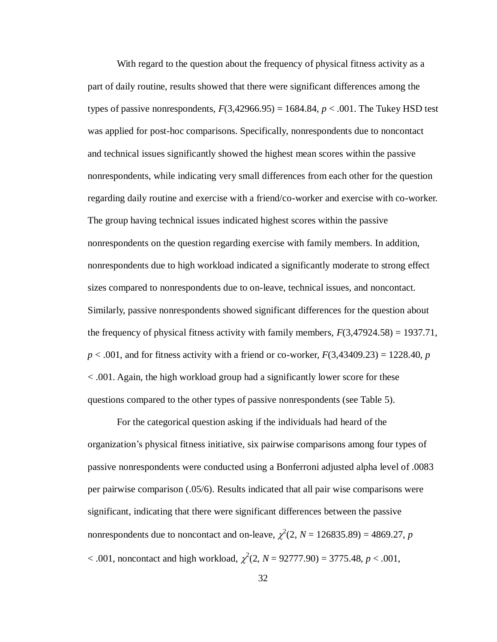With regard to the question about the frequency of physical fitness activity as a part of daily routine, results showed that there were significant differences among the types of passive nonrespondents,  $F(3,42966.95) = 1684.84$ ,  $p < .001$ . The Tukey HSD test was applied for post-hoc comparisons. Specifically, nonrespondents due to noncontact and technical issues significantly showed the highest mean scores within the passive nonrespondents, while indicating very small differences from each other for the question regarding daily routine and exercise with a friend/co-worker and exercise with co-worker. The group having technical issues indicated highest scores within the passive nonrespondents on the question regarding exercise with family members. In addition, nonrespondents due to high workload indicated a significantly moderate to strong effect sizes compared to nonrespondents due to on-leave, technical issues, and noncontact. Similarly, passive nonrespondents showed significant differences for the question about the frequency of physical fitness activity with family members,  $F(3,47924.58) = 1937.71$ , *p* < .001, and for fitness activity with a friend or co-worker, *F*(3,43409.23) = 1228.40, *p* < .001. Again, the high workload group had a significantly lower score for these questions compared to the other types of passive nonrespondents (see Table 5).

For the categorical question asking if the individuals had heard of the organization's physical fitness initiative, six pairwise comparisons among four types of passive nonrespondents were conducted using a Bonferroni adjusted alpha level of .0083 per pairwise comparison (.05/6). Results indicated that all pair wise comparisons were significant, indicating that there were significant differences between the passive nonrespondents due to noncontact and on-leave,  $\chi^2(2, N = 126835.89) = 4869.27$ , *p*  $< .001$ , noncontact and high workload,  $\chi^2(2, N = 92777.90) = 3775.48, p < .001$ ,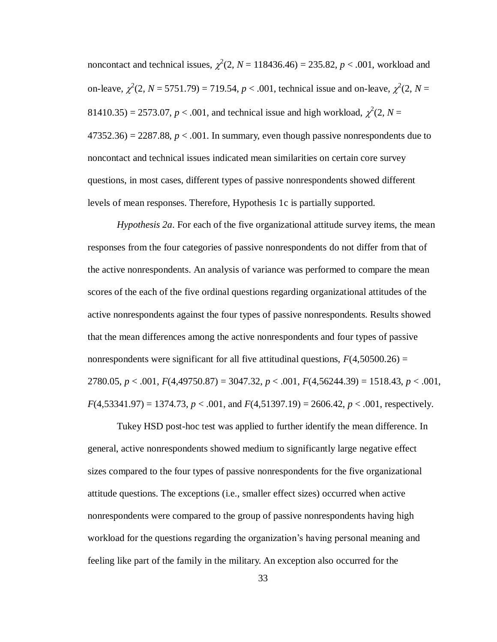noncontact and technical issues,  $\chi^2(2, N = 118436.46) = 235.82, p < .001$ , workload and on-leave,  $\chi^2(2, N = 5751.79) = 719.54, p < .001$ , technical issue and on-leave,  $\chi^2(2, N = 119.54, p < .001$ 81410.35) = 2573.07,  $p < .001$ , and technical issue and high workload,  $\chi^2(2, N = )$  $47352.36$ ) = 2287.88,  $p < .001$ . In summary, even though passive nonrespondents due to noncontact and technical issues indicated mean similarities on certain core survey questions, in most cases, different types of passive nonrespondents showed different levels of mean responses. Therefore, Hypothesis 1c is partially supported.

<span id="page-40-0"></span>*Hypothesis 2a*. For each of the five organizational attitude survey items, the mean responses from the four categories of passive nonrespondents do not differ from that of the active nonrespondents. An analysis of variance was performed to compare the mean scores of the each of the five ordinal questions regarding organizational attitudes of the active nonrespondents against the four types of passive nonrespondents. Results showed that the mean differences among the active nonrespondents and four types of passive nonrespondents were significant for all five attitudinal questions,  $F(4,50500.26) =$ 2780.05, *p* < .001, *F*(4,49750.87) = 3047.32, *p* < .001, *F*(4,56244.39) = 1518.43, *p* < .001,  $F(4,53341.97) = 1374.73$ ,  $p < .001$ , and  $F(4,51397.19) = 2606.42$ ,  $p < .001$ , respectively.

Tukey HSD post-hoc test was applied to further identify the mean difference. In general, active nonrespondents showed medium to significantly large negative effect sizes compared to the four types of passive nonrespondents for the five organizational attitude questions. The exceptions (i.e., smaller effect sizes) occurred when active nonrespondents were compared to the group of passive nonrespondents having high workload for the questions regarding the organization's having personal meaning and feeling like part of the family in the military. An exception also occurred for the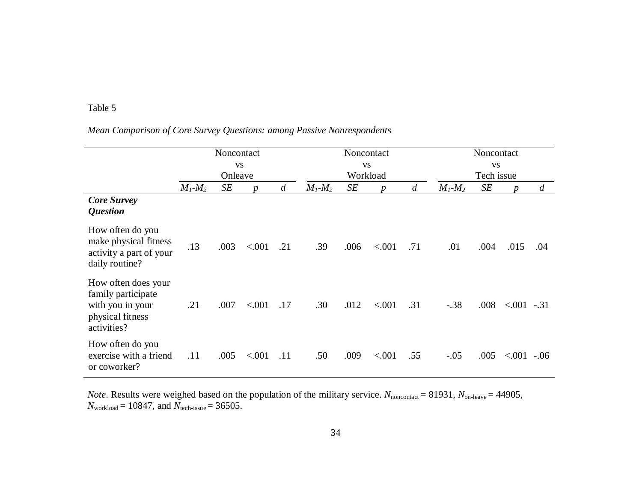# *Mean Comparison of Core Survey Questions: among Passive Nonrespondents*

|                                                                                                  |               | Noncontact |                  |                |               | Noncontact |                  | Noncontact |               |            |                  |                |
|--------------------------------------------------------------------------------------------------|---------------|------------|------------------|----------------|---------------|------------|------------------|------------|---------------|------------|------------------|----------------|
|                                                                                                  | <b>VS</b>     |            |                  |                | <b>VS</b>     |            |                  |            | <b>VS</b>     |            |                  |                |
|                                                                                                  |               | Onleave    |                  |                |               | Workload   |                  |            |               | Tech issue |                  |                |
|                                                                                                  | $M_1$ - $M_2$ | SE         | $\boldsymbol{p}$ | $\overline{d}$ | $M_1$ - $M_2$ | SE         | $\boldsymbol{p}$ | d          | $M_1$ - $M_2$ | SE         | $\boldsymbol{p}$ | $\mathfrak{a}$ |
| <b>Core Survey</b><br><i><b>Question</b></i>                                                     |               |            |                  |                |               |            |                  |            |               |            |                  |                |
| How often do you<br>make physical fitness<br>activity a part of your<br>daily routine?           | .13           | .003       | < .001           | .21            | .39           | .006       | < .001           | .71        | .01           | .004       | .015             | .04            |
| How often does your<br>family participate<br>with you in your<br>physical fitness<br>activities? | .21           | .007       | < .001           | .17            | .30           | .012       | < .001           | .31        | $-.38$        | .008       | $< 001 - 31$     |                |
| How often do you<br>exercise with a friend<br>or coworker?                                       | .11           | .005       | < .001           | .11            | .50           | .009       | < .001           | .55        | $-.05$        | .005       | < 0.001          | $-.06$         |

*Note*. Results were weighed based on the population of the military service.  $N_{\text{noncontact}} = 81931$ ,  $N_{\text{on-leave}} = 44905$ , *N*workload = 10847, and *N*tech-issue = 36505.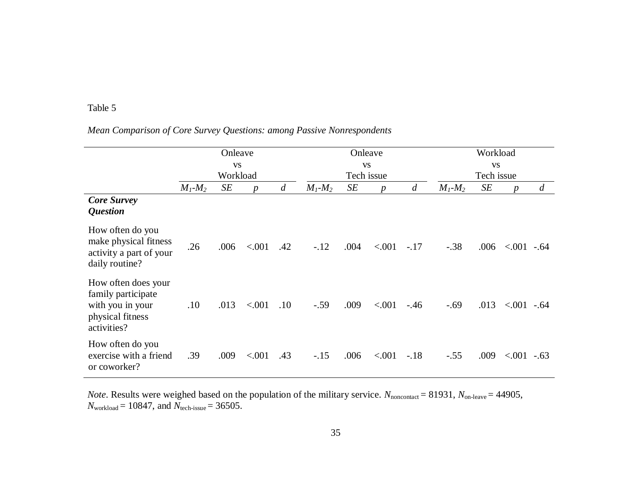# *Mean Comparison of Core Survey Questions: among Passive Nonrespondents*

|                                                                                                  | Onleave       |          |                  |                  |               | Onleave    |                  |            | Workload      |      |                  |        |
|--------------------------------------------------------------------------------------------------|---------------|----------|------------------|------------------|---------------|------------|------------------|------------|---------------|------|------------------|--------|
|                                                                                                  | <b>VS</b>     |          |                  |                  | <b>VS</b>     |            |                  |            | <b>VS</b>     |      |                  |        |
|                                                                                                  |               | Workload |                  |                  |               | Tech issue |                  | Tech issue |               |      |                  |        |
|                                                                                                  | $M_1$ - $M_2$ | SE       | $\boldsymbol{p}$ | $\boldsymbol{d}$ | $M_1$ - $M_2$ | SE         | $\boldsymbol{p}$ | d          | $M_1$ - $M_2$ | SE   | $\boldsymbol{p}$ | d      |
| <b>Core Survey</b><br><i><b>Question</b></i>                                                     |               |          |                  |                  |               |            |                  |            |               |      |                  |        |
| How often do you<br>make physical fitness<br>activity a part of your<br>daily routine?           | .26           | .006     | < .001           | .42              | $-.12$        | .004       | < .001           | $-.17$     | $-.38$        | .006 | $< 0.001 - 0.64$ |        |
| How often does your<br>family participate<br>with you in your<br>physical fitness<br>activities? | .10           | .013     | < .001           | .10              | $-.59$        | .009       | < .001           | $-.46$     | $-.69$        | .013 | $< 0.001 - 0.64$ |        |
| How often do you<br>exercise with a friend<br>or coworker?                                       | .39           | .009     | < .001           | .43              | $-.15$        | .006       | < .001           | $-.18$     | $-.55$        | .009 | ${<}001$         | $-.63$ |

*Note*. Results were weighed based on the population of the military service.  $N_{\text{noncontact}} = 81931$ ,  $N_{\text{on-leave}} = 44905$ , *N*workload = 10847, and *N*tech-issue = 36505.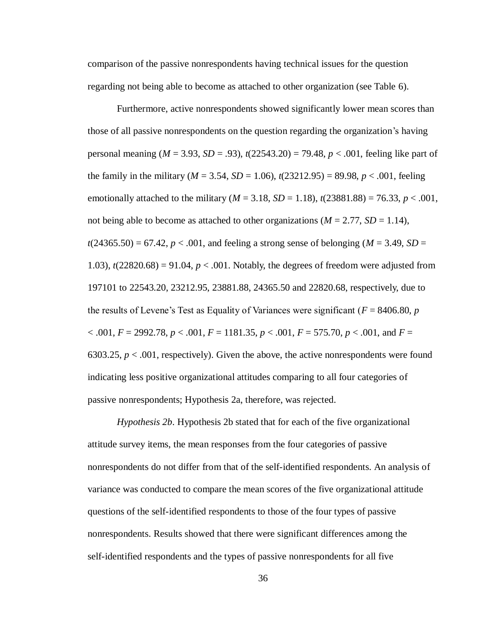comparison of the passive nonrespondents having technical issues for the question regarding not being able to become as attached to other organization (see Table 6).

Furthermore, active nonrespondents showed significantly lower mean scores than those of all passive nonrespondents on the question regarding the organization's having personal meaning (*M* = 3.93, *SD* = .93), *t*(22543.20) = 79.48, *p* < .001, feeling like part of the family in the military ( $M = 3.54$ ,  $SD = 1.06$ ),  $t(23212.95) = 89.98$ ,  $p < .001$ , feeling emotionally attached to the military ( $M = 3.18$ ,  $SD = 1.18$ ),  $t(23881.88) = 76.33$ ,  $p < .001$ , not being able to become as attached to other organizations ( $M = 2.77$ ,  $SD = 1.14$ ),  $t(24365.50) = 67.42$ ,  $p < .001$ , and feeling a strong sense of belonging ( $M = 3.49$ ,  $SD =$ 1.03),  $t(22820.68) = 91.04$ ,  $p < .001$ . Notably, the degrees of freedom were adjusted from 197101 to 22543.20, 23212.95, 23881.88, 24365.50 and 22820.68, respectively, due to the results of Levene's Test as Equality of Variances were significant ( $F = 8406.80$ ,  $p$ )  $< .001, F = 2992.78, p < .001, F = 1181.35, p < .001, F = 575.70, p < .001,$  and  $F =$ 6303.25,  $p < .001$ , respectively). Given the above, the active nonrespondents were found indicating less positive organizational attitudes comparing to all four categories of passive nonrespondents; Hypothesis 2a, therefore, was rejected.

*Hypothesis 2b*. Hypothesis 2b stated that for each of the five organizational attitude survey items, the mean responses from the four categories of passive nonrespondents do not differ from that of the self-identified respondents. An analysis of variance was conducted to compare the mean scores of the five organizational attitude questions of the self-identified respondents to those of the four types of passive nonrespondents. Results showed that there were significant differences among the self-identified respondents and the types of passive nonrespondents for all five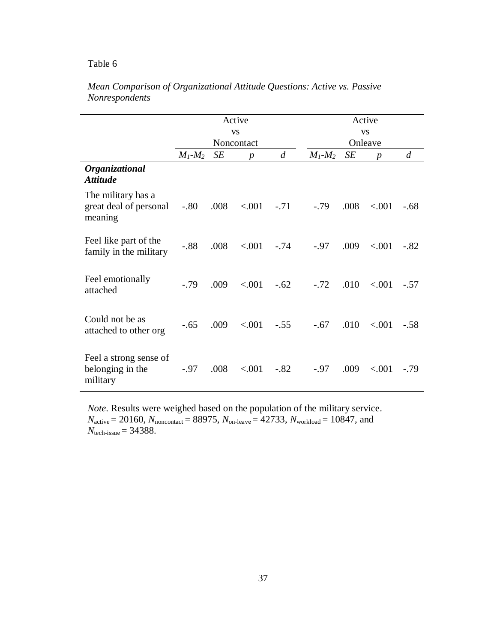|                                                         |               |      | Active<br><b>VS</b>            |                | Active<br><b>VS</b> |      |                             |                |  |  |
|---------------------------------------------------------|---------------|------|--------------------------------|----------------|---------------------|------|-----------------------------|----------------|--|--|
|                                                         | $M_1$ - $M_2$ | SE   | Noncontact<br>$\boldsymbol{p}$ | $\overline{d}$ | $M_1$ - $M_2$       | SE   | Onleave<br>$\boldsymbol{p}$ | $\overline{d}$ |  |  |
| Organizational<br><i><b>Attitude</b></i>                |               |      |                                |                |                     |      |                             |                |  |  |
| The military has a<br>great deal of personal<br>meaning | $-.80$        | .008 | < 0.001                        | $-.71$         | $-.79$              | .008 | < .001                      | $-.68$         |  |  |
| Feel like part of the<br>family in the military         | $-0.88$       | .008 | < .001                         | $-.74$         | $-.97$              | .009 | < .001                      | $-.82$         |  |  |
| Feel emotionally<br>attached                            | $-.79$        | .009 | < .001                         | $-.62$         | $-.72$              | .010 | < .001                      | $-.57$         |  |  |
| Could not be as<br>attached to other org                | $-.65$        | .009 | < 0.001                        | $-.55$         | $-.67$              | .010 | < .001                      | $-.58$         |  |  |
| Feel a strong sense of<br>belonging in the<br>military  | $-.97$        | .008 | < .001                         | $-.82$         | $-.97$              | .009 | < .001                      | $-.79$         |  |  |

# *Mean Comparison of Organizational Attitude Questions: Active vs. Passive Nonrespondents*

*Note*. Results were weighed based on the population of the military service.  $N_{\text{active}} = 20160$ ,  $N_{\text{noncontact}} = 88975$ ,  $N_{\text{on-leave}} = 42733$ ,  $N_{\text{workload}} = 10847$ , and *N*tech-issue = 34388.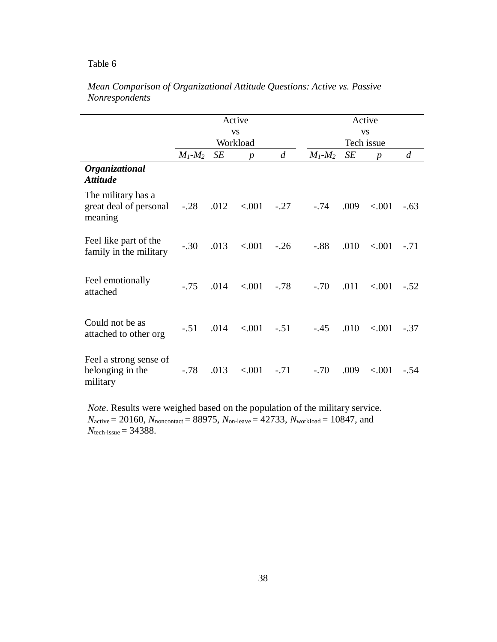|                                                         |               |      | Active<br><b>VS</b> |        | Active<br><b>VS</b> |      |                  |                |  |  |
|---------------------------------------------------------|---------------|------|---------------------|--------|---------------------|------|------------------|----------------|--|--|
|                                                         |               |      | Workload            |        |                     |      | Tech issue       |                |  |  |
|                                                         | $M_I$ - $M_2$ | SE   | $\boldsymbol{p}$    | d      | $M_1$ - $M_2$       | SE   | $\boldsymbol{p}$ | $\overline{d}$ |  |  |
| Organizational<br><b>Attitude</b>                       |               |      |                     |        |                     |      |                  |                |  |  |
| The military has a<br>great deal of personal<br>meaning | $-.28$        |      | $.012 \quad < .001$ | $-.27$ | $-.74$              | .009 | < .001           | $-.63$         |  |  |
| Feel like part of the<br>family in the military         | $-.30$        | .013 | ${<}001$            | $-.26$ | $-.88$              | .010 | < 0.001          | $-.71$         |  |  |
| Feel emotionally<br>attached                            | $-.75$        | .014 | < 0.001             | $-.78$ | $-.70$              | .011 | < 0.001          | $-.52$         |  |  |
| Could not be as<br>attached to other org                | $-.51$        | .014 | < .001              | $-.51$ | $-.45$              | .010 | < .001           | $-.37$         |  |  |
| Feel a strong sense of<br>belonging in the<br>military  | $-.78$        | .013 | < 0.001             | $-.71$ | $-.70$              | .009 | < .001           | $-.54$         |  |  |

# *Mean Comparison of Organizational Attitude Questions: Active vs. Passive Nonrespondents*

*Note*. Results were weighed based on the population of the military service.  $N_{\text{active}} = 20160$ ,  $N_{\text{noncontact}} = 88975$ ,  $N_{\text{on-leave}} = 42733$ ,  $N_{\text{workload}} = 10847$ , and *N*tech-issue = 34388.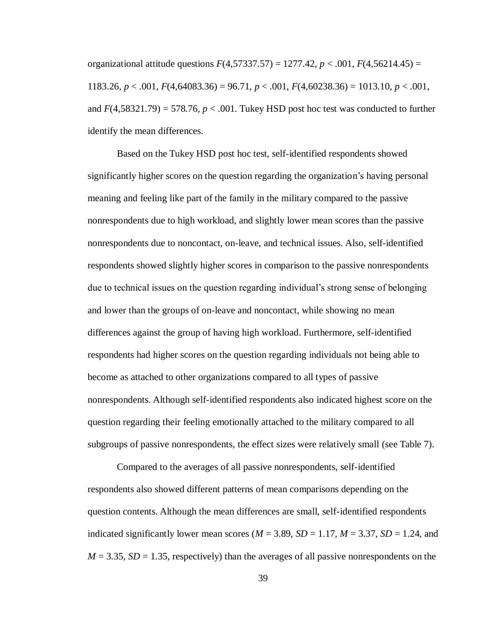<span id="page-46-0"></span>organizational attitude questions  $F(4,57337.57) = 1277.42$ ,  $p < .001$ ,  $F(4,56214.45) =$ 1183.26, *p* < .001, *F*(4,64083.36) = 96.71, *p* < .001, *F*(4,60238.36) = 1013.10, *p* < .001, and  $F(4,58321.79) = 578.76$ ,  $p < .001$ . Tukey HSD post hoc test was conducted to further identify the mean differences.

Based on the Tukey HSD post hoc test, self-identified respondents showed significantly higher scores on the question regarding the organization's having personal meaning and feeling like part of the family in the military compared to the passive nonrespondents due to high workload, and slightly lower mean scores than the passive nonrespondents due to noncontact, on-leave, and technical issues. Also, self-identified respondents showed slightly higher scores in comparison to the passive nonrespondents due to technical issues on the question regarding individual's strong sense of belonging and lower than the groups of on-leave and noncontact, while showing no mean differences against the group of having high workload. Furthermore, self-identified respondents had higher scores on the question regarding individuals not being able to become as attached to other organizations compared to all types of passive nonrespondents. Although self-identified respondents also indicated highest score on the question regarding their feeling emotionally attached to the military compared to all subgroups of passive nonrespondents, the effect sizes were relatively small (see Table 7).

Compared to the averages of all passive nonrespondents, self-identified respondents also showed different patterns of mean comparisons depending on the question contents. Although the mean differences are small, self-identified respondents indicated significantly lower mean scores ( $M = 3.89$ ,  $SD = 1.17$ ,  $M = 3.37$ ,  $SD = 1.24$ , and  $M = 3.35$ ,  $SD = 1.35$ , respectively) than the averages of all passive nonrespondents on the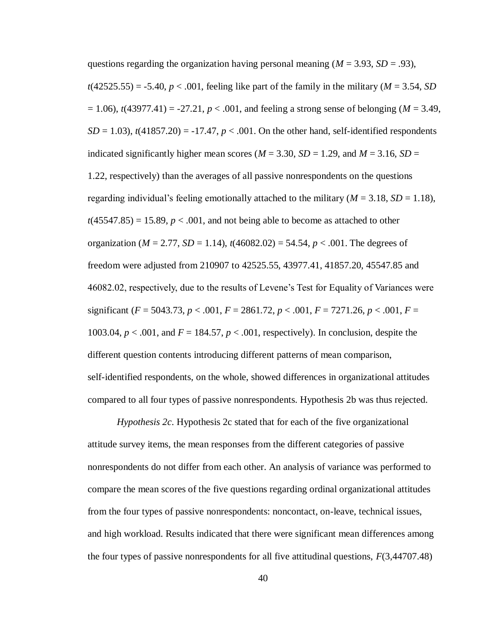questions regarding the organization having personal meaning  $(M = 3.93, SD = .93)$ ,  $t(42525.55) = -5.40, p < .001$ , feeling like part of the family in the military ( $M = 3.54$ , *SD*  $= 1.06$ ),  $t(43977.41) = -27.21$ ,  $p < .001$ , and feeling a strong sense of belonging (*M* = 3.49,  $SD = 1.03$ ,  $t(41857.20) = -17.47$ ,  $p < .001$ . On the other hand, self-identified respondents indicated significantly higher mean scores ( $M = 3.30$ ,  $SD = 1.29$ , and  $M = 3.16$ ,  $SD =$ 1.22, respectively) than the averages of all passive nonrespondents on the questions regarding individual's feeling emotionally attached to the military  $(M = 3.18, SD = 1.18)$ ,  $t(45547.85) = 15.89, p < .001$ , and not being able to become as attached to other organization ( $M = 2.77$ ,  $SD = 1.14$ ),  $t(46082.02) = 54.54$ ,  $p < .001$ . The degrees of freedom were adjusted from 210907 to 42525.55, 43977.41, 41857.20, 45547.85 and 46082.02, respectively, due to the results of Levene's Test for Equality of Variances were significant ( $F = 5043.73$ ,  $p < .001$ ,  $F = 2861.72$ ,  $p < .001$ ,  $F = 7271.26$ ,  $p < .001$ ,  $F =$ 1003.04, *p* < .001, and *F* = 184.57, *p* < .001, respectively). In conclusion, despite the different question contents introducing different patterns of mean comparison, self-identified respondents, on the whole, showed differences in organizational attitudes compared to all four types of passive nonrespondents. Hypothesis 2b was thus rejected.

*Hypothesis 2c*. Hypothesis 2c stated that for each of the five organizational attitude survey items, the mean responses from the different categories of passive nonrespondents do not differ from each other. An analysis of variance was performed to compare the mean scores of the five questions regarding ordinal organizational attitudes from the four types of passive nonrespondents: noncontact, on-leave, technical issues, and high workload. Results indicated that there were significant mean differences among the four types of passive nonrespondents for all five attitudinal questions, *F*(3,44707.48)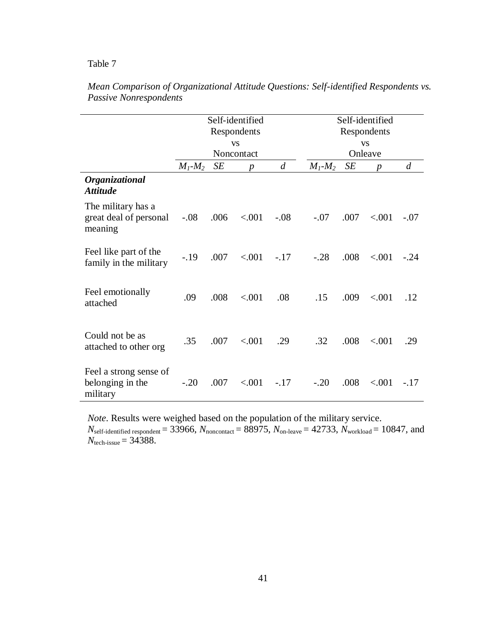|                                                         |               |      | Self-identified<br>Respondents<br><b>VS</b> |                | Self-identified<br>Respondents<br><b>VS</b>      |      |                  |        |  |  |
|---------------------------------------------------------|---------------|------|---------------------------------------------|----------------|--------------------------------------------------|------|------------------|--------|--|--|
|                                                         | $M_1$ - $M_2$ | SE   | Noncontact                                  | $\overline{d}$ | Onleave<br>$\overline{d}$<br>SE<br>$M_1$ - $M_2$ |      |                  |        |  |  |
| Organizational<br><i><b>Attitude</b></i>                |               |      | $\boldsymbol{D}$                            |                |                                                  |      | $\boldsymbol{p}$ |        |  |  |
| The military has a<br>great deal of personal<br>meaning | $-.08$        | .006 | < .001                                      | $-.08$         | $-.07$                                           | .007 | < .001           | $-.07$ |  |  |
| Feel like part of the<br>family in the military         | $-19$         | .007 | < .001                                      | $-.17$         | $-.28$                                           | .008 | < .001           | $-.24$ |  |  |
| Feel emotionally<br>attached                            | .09           | .008 | < 0.01                                      | .08            | .15                                              | .009 | < .001           | .12    |  |  |
| Could not be as<br>attached to other org                | .35           | .007 | < .001                                      | .29            | .32                                              | .008 | < .001           | .29    |  |  |
| Feel a strong sense of<br>belonging in the<br>military  | $-.20$        | .007 | < 0.001                                     | $-.17$         | $-.20$                                           | .008 | < .001           | $-.17$ |  |  |

*Mean Comparison of Organizational Attitude Questions: Self-identified Respondents vs. Passive Nonrespondents*

*Note*. Results were weighed based on the population of the military service.  $N_{\text{self-identified respondent}} = 33966$ ,  $N_{\text{noncontact}} = 88975$ ,  $N_{\text{on-leave}} = 42733$ ,  $N_{\text{workload}} = 10847$ , and  $N_{\text{tech-issue}} = 34388.$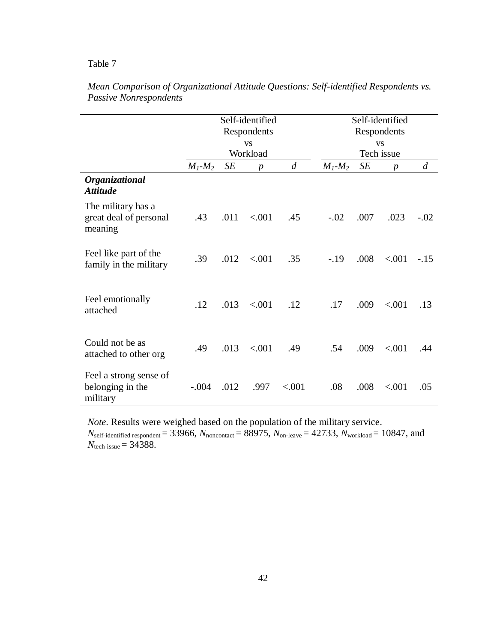|                                                         |               |      | Self-identified<br>Respondents<br><b>VS</b> | Self-identified<br>Respondents<br><b>VS</b> |                                   |      |                  |                |  |  |
|---------------------------------------------------------|---------------|------|---------------------------------------------|---------------------------------------------|-----------------------------------|------|------------------|----------------|--|--|
|                                                         | $M_1$ - $M_2$ | SE   | Workload                                    | $\overline{d}$                              | Tech issue<br>SE<br>$M_1$ - $M_2$ |      |                  |                |  |  |
| Organizational<br><b>Attitude</b>                       |               |      | $\boldsymbol{p}$                            |                                             |                                   |      | $\boldsymbol{p}$ | $\overline{d}$ |  |  |
| The military has a<br>great deal of personal<br>meaning | .43           | .011 | < .001                                      | .45                                         | $-.02$                            | .007 | .023             | $-.02$         |  |  |
| Feel like part of the<br>family in the military         | .39           | .012 | < 0.01                                      | .35                                         | $-.19$                            | .008 | < .001           | $-.15$         |  |  |
| Feel emotionally<br>attached                            | .12           | .013 | < .001                                      | .12                                         | .17                               | .009 | < .001           | .13            |  |  |
| Could not be as<br>attached to other org                | .49           | .013 | < 0.01                                      | .49                                         | .54                               | .009 | < .001           | .44            |  |  |
| Feel a strong sense of<br>belonging in the<br>military  | $-.004$       | .012 | .997                                        | < .001                                      | .08                               | .008 | < .001           | .05            |  |  |

| Mean Comparison of Organizational Attitude Questions: Self-identified Respondents vs. |  |  |
|---------------------------------------------------------------------------------------|--|--|
| Passive Nonrespondents                                                                |  |  |

*Note*. Results were weighed based on the population of the military service.

 $N_{\text{self-identified respondent}} = 33966$ ,  $N_{\text{noncontact}} = 88975$ ,  $N_{\text{on-leave}} = 42733$ ,  $N_{\text{workload}} = 10847$ , and *N*tech-issue = 34388.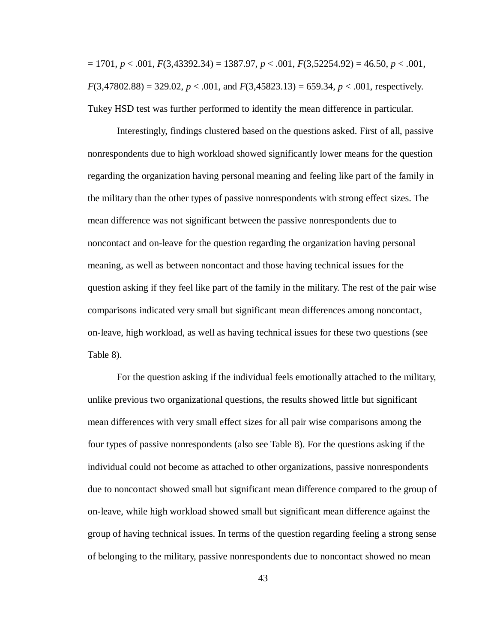<span id="page-50-0"></span>= 1701, *p* < .001, *F*(3,43392.34) = 1387.97, *p* < .001, *F*(3,52254.92) = 46.50, *p* < .001,  $F(3,47802.88) = 329.02, p < .001,$  and  $F(3,45823.13) = 659.34, p < .001$ , respectively. Tukey HSD test was further performed to identify the mean difference in particular.

Interestingly, findings clustered based on the questions asked. First of all, passive nonrespondents due to high workload showed significantly lower means for the question regarding the organization having personal meaning and feeling like part of the family in the military than the other types of passive nonrespondents with strong effect sizes. The mean difference was not significant between the passive nonrespondents due to noncontact and on-leave for the question regarding the organization having personal meaning, as well as between noncontact and those having technical issues for the question asking if they feel like part of the family in the military. The rest of the pair wise comparisons indicated very small but significant mean differences among noncontact, on-leave, high workload, as well as having technical issues for these two questions (see Table 8).

For the question asking if the individual feels emotionally attached to the military, unlike previous two organizational questions, the results showed little but significant mean differences with very small effect sizes for all pair wise comparisons among the four types of passive nonrespondents (also see Table 8). For the questions asking if the individual could not become as attached to other organizations, passive nonrespondents due to noncontact showed small but significant mean difference compared to the group of on-leave, while high workload showed small but significant mean difference against the group of having technical issues. In terms of the question regarding feeling a strong sense of belonging to the military, passive nonrespondents due to noncontact showed no mean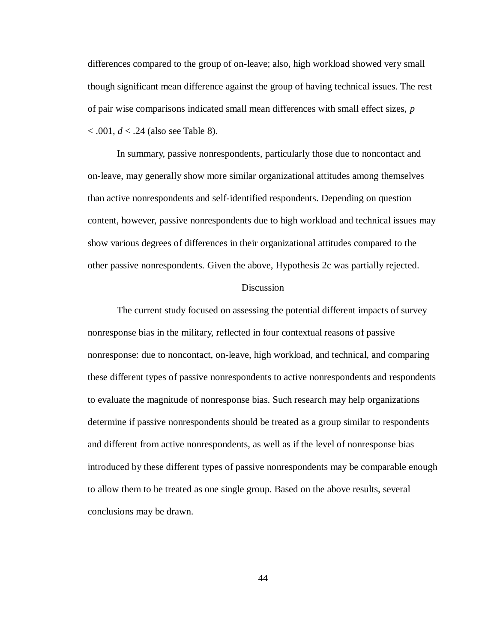differences compared to the group of on-leave; also, high workload showed very small though significant mean difference against the group of having technical issues. The rest of pair wise comparisons indicated small mean differences with small effect sizes, *p* < .001, *d* < .24 (also see Table 8).

In summary, passive nonrespondents, particularly those due to noncontact and on-leave, may generally show more similar organizational attitudes among themselves than active nonrespondents and self-identified respondents. Depending on question content, however, passive nonrespondents due to high workload and technical issues may show various degrees of differences in their organizational attitudes compared to the other passive nonrespondents. Given the above, Hypothesis 2c was partially rejected.

### Discussion

<span id="page-51-0"></span>The current study focused on assessing the potential different impacts of survey nonresponse bias in the military, reflected in four contextual reasons of passive nonresponse: due to noncontact, on-leave, high workload, and technical, and comparing these different types of passive nonrespondents to active nonrespondents and respondents to evaluate the magnitude of nonresponse bias. Such research may help organizations determine if passive nonrespondents should be treated as a group similar to respondents and different from active nonrespondents, as well as if the level of nonresponse bias introduced by these different types of passive nonrespondents may be comparable enough to allow them to be treated as one single group. Based on the above results, several conclusions may be drawn.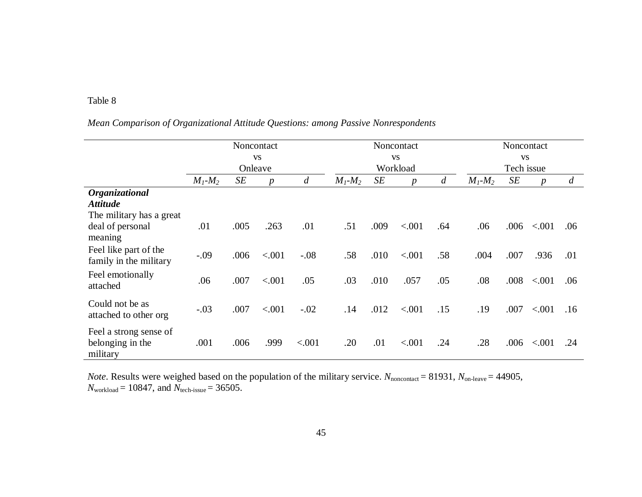# *Mean Comparison of Organizational Attitude Questions: among Passive Nonrespondents*

|                          | Noncontact    |         |                  |                |               |      | Noncontact       |            | Noncontact    |      |                  |     |
|--------------------------|---------------|---------|------------------|----------------|---------------|------|------------------|------------|---------------|------|------------------|-----|
|                          | <b>VS</b>     |         |                  |                | <b>VS</b>     |      |                  |            | <b>VS</b>     |      |                  |     |
|                          |               | Onleave |                  |                |               |      | Workload         | Tech issue |               |      |                  |     |
|                          | $M_1$ - $M_2$ | SE      | $\boldsymbol{p}$ | $\overline{d}$ | $M_1$ - $M_2$ | SE   | $\boldsymbol{p}$ | d          | $M_1$ - $M_2$ | SE   | $\boldsymbol{p}$ | d   |
| Organizational           |               |         |                  |                |               |      |                  |            |               |      |                  |     |
| <b>Attitude</b>          |               |         |                  |                |               |      |                  |            |               |      |                  |     |
| The military has a great |               |         |                  |                |               |      |                  |            |               |      |                  |     |
| deal of personal         | .01           | .005    | .263             | .01            | .51           | .009 | < .001           | .64        | .06           | .006 | < .001           | .06 |
| meaning                  |               |         |                  |                |               |      |                  |            |               |      |                  |     |
| Feel like part of the    | $-.09$        | .006    | < .001           | $-.08$         | .58           | .010 | < .001           | .58        | .004          | .007 | .936             | .01 |
| family in the military   |               |         |                  |                |               |      |                  |            |               |      |                  |     |
| Feel emotionally         |               |         |                  |                |               |      |                  |            |               |      |                  |     |
| attached                 | .06           | .007    | < .001           | .05            | .03           | .010 | .057             | .05        | .08           | .008 | < .001           | .06 |
|                          |               |         |                  |                |               |      |                  |            |               |      |                  |     |
| Could not be as          | $-.03$        | .007    | < .001           | $-.02$         | .14           | .012 | < .001           | .15        | .19           | .007 | < .001           | .16 |
| attached to other org    |               |         |                  |                |               |      |                  |            |               |      |                  |     |
| Feel a strong sense of   |               |         |                  |                |               |      |                  |            |               |      |                  |     |
| belonging in the         | .001          | .006    | .999             | < .001         | .20           | .01  | < .001           | .24        | .28           | .006 | < .001           | .24 |
| military                 |               |         |                  |                |               |      |                  |            |               |      |                  |     |

*Note*. Results were weighed based on the population of the military service. *N*<sub>noncontact</sub> = 81931, *N*<sub>on-leave</sub> = 44905, *N*workload = 10847, and *N*tech-issue = 36505.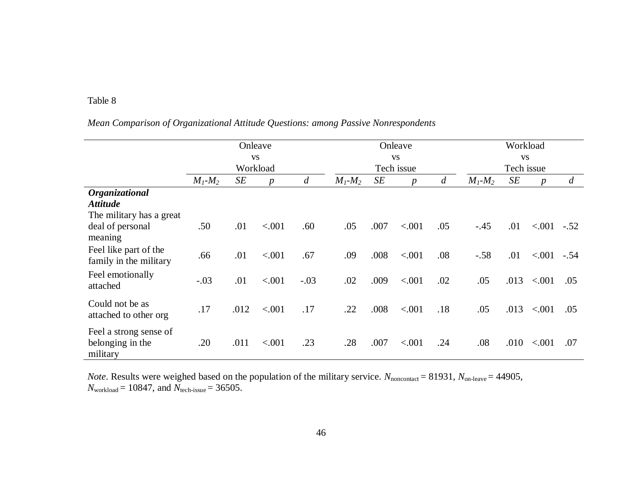# *Mean Comparison of Organizational Attitude Questions: among Passive Nonrespondents*

|                          |               | Onleave |                  |        |               | Onleave |                  | Workload       |               |      |                  |        |
|--------------------------|---------------|---------|------------------|--------|---------------|---------|------------------|----------------|---------------|------|------------------|--------|
|                          | <b>VS</b>     |         |                  |        | <b>VS</b>     |         |                  |                | <b>VS</b>     |      |                  |        |
|                          |               |         | Workload         |        | Tech issue    |         |                  |                | Tech issue    |      |                  |        |
|                          | $M_1$ - $M_2$ | SE      | $\boldsymbol{p}$ | d      | $M_1$ - $M_2$ | SE      | $\boldsymbol{p}$ | $\overline{d}$ | $M_1$ - $M_2$ | SE   | $\boldsymbol{p}$ | d      |
| Organizational           |               |         |                  |        |               |         |                  |                |               |      |                  |        |
| <b>Attitude</b>          |               |         |                  |        |               |         |                  |                |               |      |                  |        |
| The military has a great |               |         |                  |        |               |         |                  |                |               |      |                  |        |
| deal of personal         | .50           | .01     | < .001           | .60    | .05           | .007    | < .001           | .05            | $-.45$        | .01  | ${<}001$         | $-.52$ |
| meaning                  |               |         |                  |        |               |         |                  |                |               |      |                  |        |
| Feel like part of the    |               |         |                  |        |               |         |                  |                |               |      |                  |        |
| family in the military   | .66           | .01     | < .001           | .67    | .09           | .008    | < .001           | .08            | $-.58$        | .01  | < .001           | $-.54$ |
| Feel emotionally         |               |         |                  |        |               |         |                  |                |               |      |                  |        |
| attached                 | $-.03$        | .01     | < .001           | $-.03$ | .02           | .009    | < .001           | .02            | .05           | .013 | < .001           | .05    |
|                          |               |         |                  |        |               |         |                  |                |               |      |                  |        |
| Could not be as          | .17           | .012    | < .001           | .17    | .22           | .008    | < .001           | .18            | .05           | .013 | < .001           | .05    |
| attached to other org    |               |         |                  |        |               |         |                  |                |               |      |                  |        |
| Feel a strong sense of   |               |         |                  |        |               |         |                  |                |               |      |                  |        |
| belonging in the         | .20           | .011    | < .001           | .23    | .28           | .007    | < .001           | .24            | .08           | .010 | < .001           | .07    |
| military                 |               |         |                  |        |               |         |                  |                |               |      |                  |        |

*Note*. Results were weighed based on the population of the military service. *N*<sub>noncontact</sub> = 81931, *N*<sub>on-leave</sub> = 44905, *N*workload = 10847, and *N*tech-issue = 36505.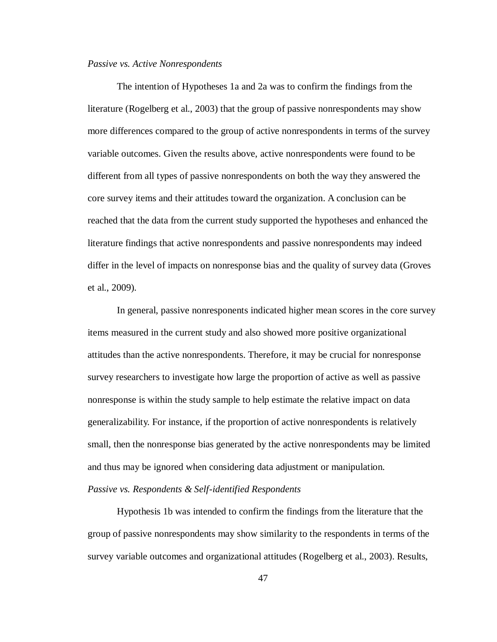#### <span id="page-54-0"></span>*Passive vs. Active Nonrespondents*

The intention of Hypotheses 1a and 2a was to confirm the findings from the literature (Rogelberg et al., 2003) that the group of passive nonrespondents may show more differences compared to the group of active nonrespondents in terms of the survey variable outcomes. Given the results above, active nonrespondents were found to be different from all types of passive nonrespondents on both the way they answered the core survey items and their attitudes toward the organization. A conclusion can be reached that the data from the current study supported the hypotheses and enhanced the literature findings that active nonrespondents and passive nonrespondents may indeed differ in the level of impacts on nonresponse bias and the quality of survey data (Groves et al., 2009).

In general, passive nonresponents indicated higher mean scores in the core survey items measured in the current study and also showed more positive organizational attitudes than the active nonrespondents. Therefore, it may be crucial for nonresponse survey researchers to investigate how large the proportion of active as well as passive nonresponse is within the study sample to help estimate the relative impact on data generalizability. For instance, if the proportion of active nonrespondents is relatively small, then the nonresponse bias generated by the active nonrespondents may be limited and thus may be ignored when considering data adjustment or manipulation. *Passive vs. Respondents & Self-identified Respondents*

<span id="page-54-1"></span>Hypothesis 1b was intended to confirm the findings from the literature that the group of passive nonrespondents may show similarity to the respondents in terms of the survey variable outcomes and organizational attitudes (Rogelberg et al., 2003). Results,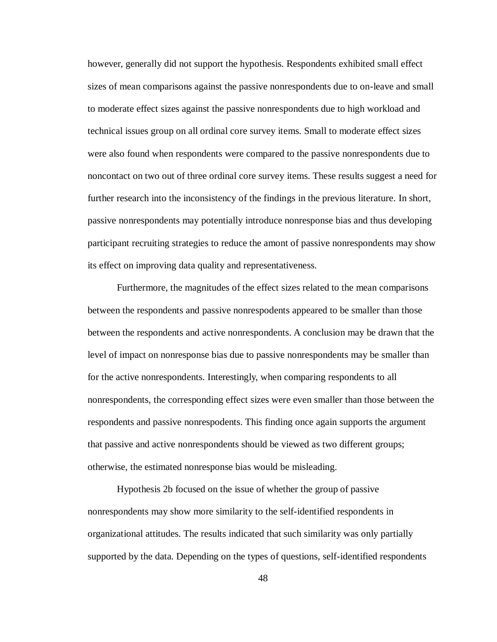however, generally did not support the hypothesis. Respondents exhibited small effect sizes of mean comparisons against the passive nonrespondents due to on-leave and small to moderate effect sizes against the passive nonrespondents due to high workload and technical issues group on all ordinal core survey items. Small to moderate effect sizes were also found when respondents were compared to the passive nonrespondents due to noncontact on two out of three ordinal core survey items. These results suggest a need for further research into the inconsistency of the findings in the previous literature. In short, passive nonrespondents may potentially introduce nonresponse bias and thus developing participant recruiting strategies to reduce the amont of passive nonrespondents may show its effect on improving data quality and representativeness.

Furthermore, the magnitudes of the effect sizes related to the mean comparisons between the respondents and passive nonrespodents appeared to be smaller than those between the respondents and active nonrespondents. A conclusion may be drawn that the level of impact on nonresponse bias due to passive nonrespondents may be smaller than for the active nonrespondents. Interestingly, when comparing respondents to all nonrespondents, the corresponding effect sizes were even smaller than those between the respondents and passive nonrespodents. This finding once again supports the argument that passive and active nonrespondents should be viewed as two different groups; otherwise, the estimated nonresponse bias would be misleading.

Hypothesis 2b focused on the issue of whether the group of passive nonrespondents may show more similarity to the self-identified respondents in organizational attitudes. The results indicated that such similarity was only partially supported by the data. Depending on the types of questions, self-identified respondents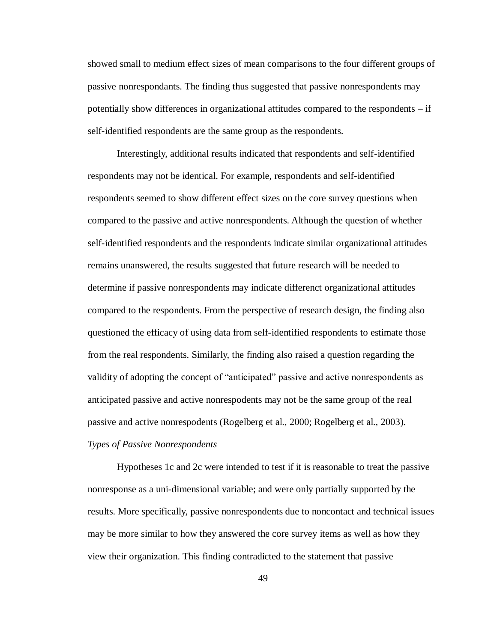showed small to medium effect sizes of mean comparisons to the four different groups of passive nonrespondants. The finding thus suggested that passive nonrespondents may potentially show differences in organizational attitudes compared to the respondents – if self-identified respondents are the same group as the respondents.

Interestingly, additional results indicated that respondents and self-identified respondents may not be identical. For example, respondents and self-identified respondents seemed to show different effect sizes on the core survey questions when compared to the passive and active nonrespondents. Although the question of whether self-identified respondents and the respondents indicate similar organizational attitudes remains unanswered, the results suggested that future research will be needed to determine if passive nonrespondents may indicate differenct organizational attitudes compared to the respondents. From the perspective of research design, the finding also questioned the efficacy of using data from self-identified respondents to estimate those from the real respondents. Similarly, the finding also raised a question regarding the validity of adopting the concept of "anticipated" passive and active nonrespondents as anticipated passive and active nonrespodents may not be the same group of the real passive and active nonrespodents (Rogelberg et al., 2000; Rogelberg et al., 2003).

### <span id="page-56-0"></span>*Types of Passive Nonrespondents*

Hypotheses 1c and 2c were intended to test if it is reasonable to treat the passive nonresponse as a uni-dimensional variable; and were only partially supported by the results. More specifically, passive nonrespondents due to noncontact and technical issues may be more similar to how they answered the core survey items as well as how they view their organization. This finding contradicted to the statement that passive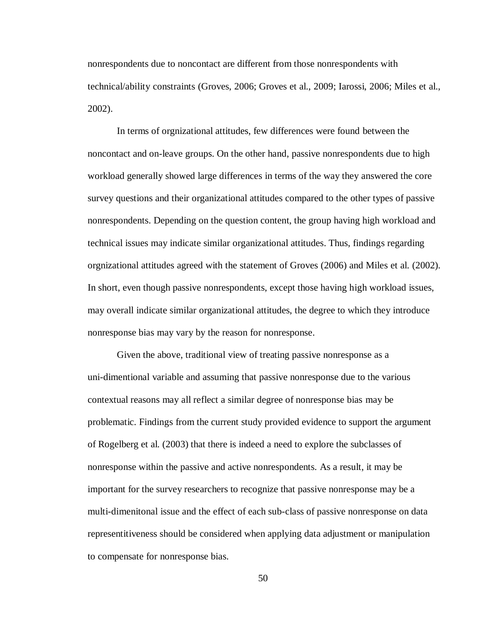nonrespondents due to noncontact are different from those nonrespondents with technical/ability constraints (Groves, 2006; Groves et al., 2009; Iarossi, 2006; Miles et al., 2002).

In terms of orgnizational attitudes, few differences were found between the noncontact and on-leave groups. On the other hand, passive nonrespondents due to high workload generally showed large differences in terms of the way they answered the core survey questions and their organizational attitudes compared to the other types of passive nonrespondents. Depending on the question content, the group having high workload and technical issues may indicate similar organizational attitudes. Thus, findings regarding orgnizational attitudes agreed with the statement of Groves (2006) and Miles et al. (2002). In short, even though passive nonrespondents, except those having high workload issues, may overall indicate similar organizational attitudes, the degree to which they introduce nonresponse bias may vary by the reason for nonresponse.

Given the above, traditional view of treating passive nonresponse as a uni-dimentional variable and assuming that passive nonresponse due to the various contextual reasons may all reflect a similar degree of nonresponse bias may be problematic. Findings from the current study provided evidence to support the argument of Rogelberg et al. (2003) that there is indeed a need to explore the subclasses of nonresponse within the passive and active nonrespondents. As a result, it may be important for the survey researchers to recognize that passive nonresponse may be a multi-dimenitonal issue and the effect of each sub-class of passive nonresponse on data representitiveness should be considered when applying data adjustment or manipulation to compensate for nonresponse bias.

50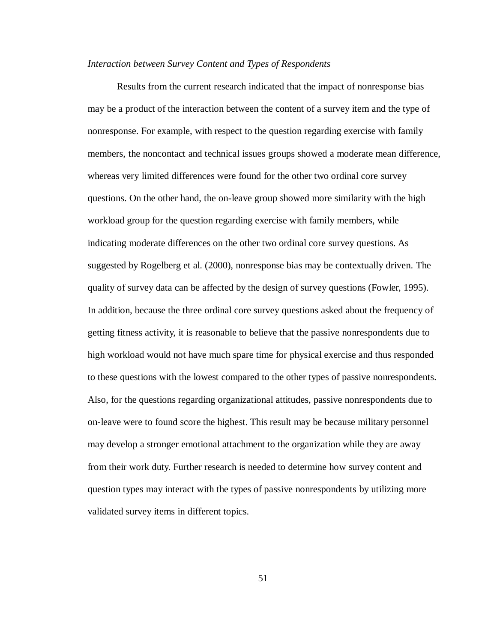### <span id="page-58-0"></span>*Interaction between Survey Content and Types of Respondents*

<span id="page-58-1"></span>Results from the current research indicated that the impact of nonresponse bias may be a product of the interaction between the content of a survey item and the type of nonresponse. For example, with respect to the question regarding exercise with family members, the noncontact and technical issues groups showed a moderate mean difference, whereas very limited differences were found for the other two ordinal core survey questions. On the other hand, the on-leave group showed more similarity with the high workload group for the question regarding exercise with family members, while indicating moderate differences on the other two ordinal core survey questions. As suggested by Rogelberg et al. (2000), nonresponse bias may be contextually driven. The quality of survey data can be affected by the design of survey questions (Fowler, 1995). In addition, because the three ordinal core survey questions asked about the frequency of getting fitness activity, it is reasonable to believe that the passive nonrespondents due to high workload would not have much spare time for physical exercise and thus responded to these questions with the lowest compared to the other types of passive nonrespondents. Also, for the questions regarding organizational attitudes, passive nonrespondents due to on-leave were to found score the highest. This result may be because military personnel may develop a stronger emotional attachment to the organization while they are away from their work duty. Further research is needed to determine how survey content and question types may interact with the types of passive nonrespondents by utilizing more validated survey items in different topics.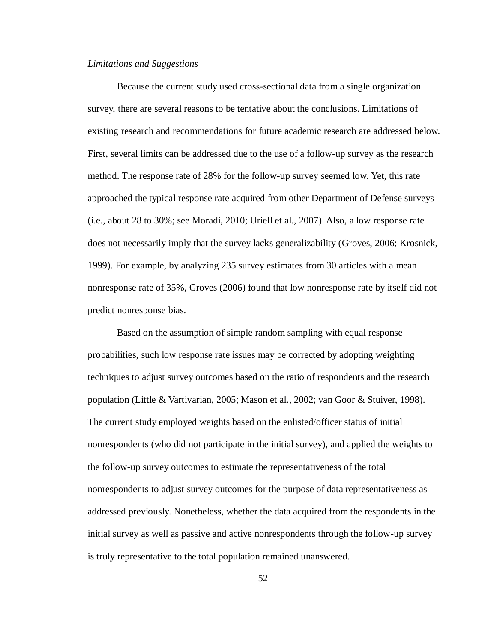### *Limitations and Suggestions*

Because the current study used cross-sectional data from a single organization survey, there are several reasons to be tentative about the conclusions. Limitations of existing research and recommendations for future academic research are addressed below. First, several limits can be addressed due to the use of a follow-up survey as the research method. The response rate of 28% for the follow-up survey seemed low. Yet, this rate approached the typical response rate acquired from other Department of Defense surveys (i.e., about 28 to 30%; see Moradi, 2010; Uriell et al., 2007). Also, a low response rate does not necessarily imply that the survey lacks generalizability (Groves, 2006; Krosnick, 1999). For example, by analyzing 235 survey estimates from 30 articles with a mean nonresponse rate of 35%, Groves (2006) found that low nonresponse rate by itself did not predict nonresponse bias.

Based on the assumption of simple random sampling with equal response probabilities, such low response rate issues may be corrected by adopting weighting techniques to adjust survey outcomes based on the ratio of respondents and the research population (Little & Vartivarian, 2005; Mason et al., 2002; van Goor & Stuiver, 1998). The current study employed weights based on the enlisted/officer status of initial nonrespondents (who did not participate in the initial survey), and applied the weights to the follow-up survey outcomes to estimate the representativeness of the total nonrespondents to adjust survey outcomes for the purpose of data representativeness as addressed previously. Nonetheless, whether the data acquired from the respondents in the initial survey as well as passive and active nonrespondents through the follow-up survey is truly representative to the total population remained unanswered.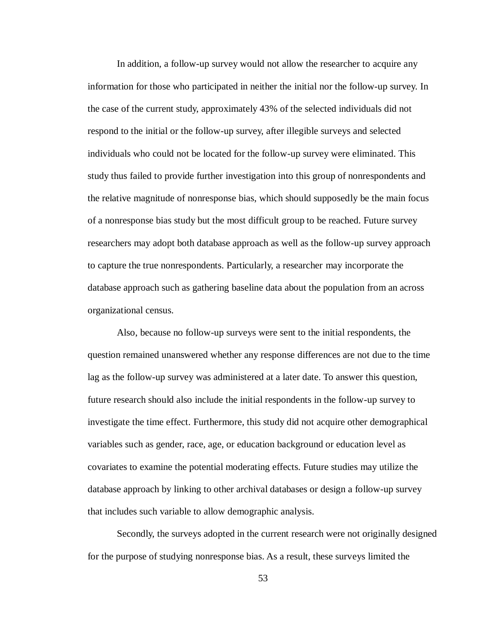In addition, a follow-up survey would not allow the researcher to acquire any information for those who participated in neither the initial nor the follow-up survey. In the case of the current study, approximately 43% of the selected individuals did not respond to the initial or the follow-up survey, after illegible surveys and selected individuals who could not be located for the follow-up survey were eliminated. This study thus failed to provide further investigation into this group of nonrespondents and the relative magnitude of nonresponse bias, which should supposedly be the main focus of a nonresponse bias study but the most difficult group to be reached. Future survey researchers may adopt both database approach as well as the follow-up survey approach to capture the true nonrespondents. Particularly, a researcher may incorporate the database approach such as gathering baseline data about the population from an across organizational census.

Also, because no follow-up surveys were sent to the initial respondents, the question remained unanswered whether any response differences are not due to the time lag as the follow-up survey was administered at a later date. To answer this question, future research should also include the initial respondents in the follow-up survey to investigate the time effect. Furthermore, this study did not acquire other demographical variables such as gender, race, age, or education background or education level as covariates to examine the potential moderating effects. Future studies may utilize the database approach by linking to other archival databases or design a follow-up survey that includes such variable to allow demographic analysis.

Secondly, the surveys adopted in the current research were not originally designed for the purpose of studying nonresponse bias. As a result, these surveys limited the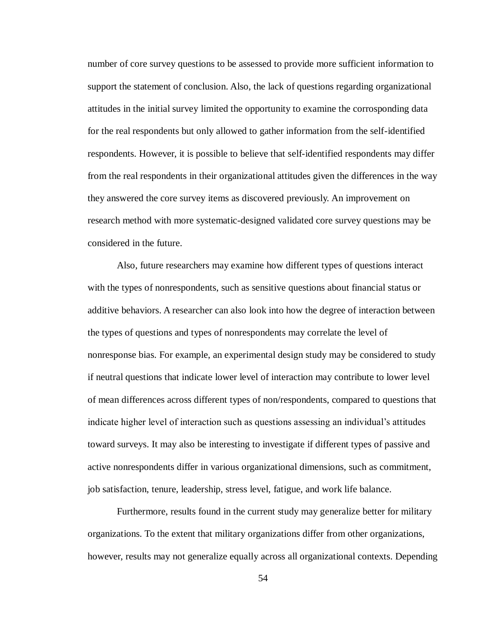number of core survey questions to be assessed to provide more sufficient information to support the statement of conclusion. Also, the lack of questions regarding organizational attitudes in the initial survey limited the opportunity to examine the corrosponding data for the real respondents but only allowed to gather information from the self-identified respondents. However, it is possible to believe that self-identified respondents may differ from the real respondents in their organizational attitudes given the differences in the way they answered the core survey items as discovered previously. An improvement on research method with more systematic-designed validated core survey questions may be considered in the future.

Also, future researchers may examine how different types of questions interact with the types of nonrespondents, such as sensitive questions about financial status or additive behaviors. A researcher can also look into how the degree of interaction between the types of questions and types of nonrespondents may correlate the level of nonresponse bias. For example, an experimental design study may be considered to study if neutral questions that indicate lower level of interaction may contribute to lower level of mean differences across different types of non/respondents, compared to questions that indicate higher level of interaction such as questions assessing an individual's attitudes toward surveys. It may also be interesting to investigate if different types of passive and active nonrespondents differ in various organizational dimensions, such as commitment, job satisfaction, tenure, leadership, stress level, fatigue, and work life balance.

Furthermore, results found in the current study may generalize better for military organizations. To the extent that military organizations differ from other organizations, however, results may not generalize equally across all organizational contexts. Depending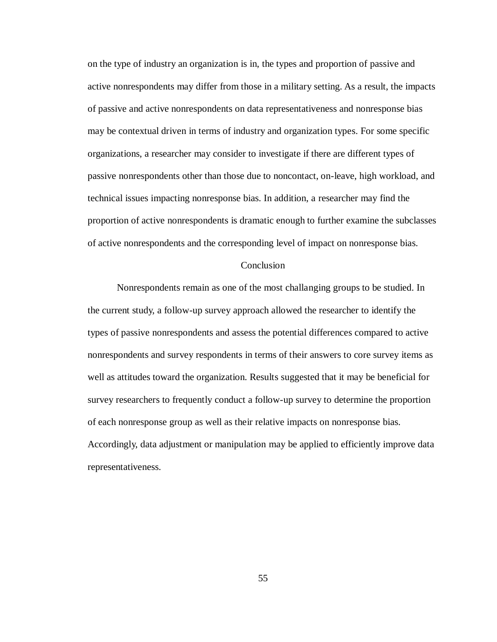on the type of industry an organization is in, the types and proportion of passive and active nonrespondents may differ from those in a military setting. As a result, the impacts of passive and active nonrespondents on data representativeness and nonresponse bias may be contextual driven in terms of industry and organization types. For some specific organizations, a researcher may consider to investigate if there are different types of passive nonrespondents other than those due to noncontact, on-leave, high workload, and technical issues impacting nonresponse bias. In addition, a researcher may find the proportion of active nonrespondents is dramatic enough to further examine the subclasses of active nonrespondents and the corresponding level of impact on nonresponse bias.

### Conclusion

<span id="page-62-0"></span>Nonrespondents remain as one of the most challanging groups to be studied. In the current study, a follow-up survey approach allowed the researcher to identify the types of passive nonrespondents and assess the potential differences compared to active nonrespondents and survey respondents in terms of their answers to core survey items as well as attitudes toward the organization. Results suggested that it may be beneficial for survey researchers to frequently conduct a follow-up survey to determine the proportion of each nonresponse group as well as their relative impacts on nonresponse bias. Accordingly, data adjustment or manipulation may be applied to efficiently improve data representativeness.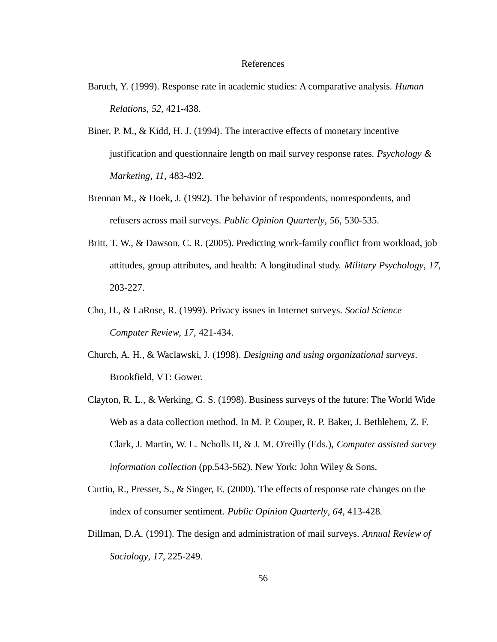#### References

- <span id="page-63-0"></span>Baruch, Y. (1999). Response rate in academic studies: A comparative analysis. *Human Relations*, *52*, 421-438.
- Biner, P. M., & Kidd, H. J. (1994). The interactive effects of monetary incentive justification and questionnaire length on mail survey response rates. *Psychology & Marketing*, *11*, 483-492.
- Brennan M., & Hoek, J. (1992). The behavior of respondents, nonrespondents, and refusers across mail surveys. *Public Opinion Quarterly*, *56*, 530-535.
- Britt, T. W., & Dawson, C. R. (2005). Predicting work-family conflict from workload, job attitudes, group attributes, and health: A longitudinal study. *Military Psychology*, *17*, 203-227.
- Cho, H., & LaRose, R. (1999). Privacy issues in Internet surveys. *Social Science Computer Review*, *17*, 421-434.
- Church, A. H., & Waclawski, J. (1998). *Designing and using organizational surveys*. Brookfield, VT: Gower.
- Clayton, R. L., & Werking, G. S. (1998). Business surveys of the future: The World Wide Web as a data collection method. In M. P. Couper, R. P. Baker, J. Bethlehem, Z. F. Clark, J. Martin, W. L. Ncholls II, & J. M. O'reilly (Eds.), *Computer assisted survey information collection* (pp.543-562). New York: John Wiley & Sons.
- Curtin, R., Presser, S., & Singer, E. (2000). The effects of response rate changes on the index of consumer sentiment. *Public Opinion Quarterly*, *64*, 413-428.
- Dillman, D.A. (1991). The design and administration of mail surveys. *Annual Review of Sociology*, *17*, 225-249.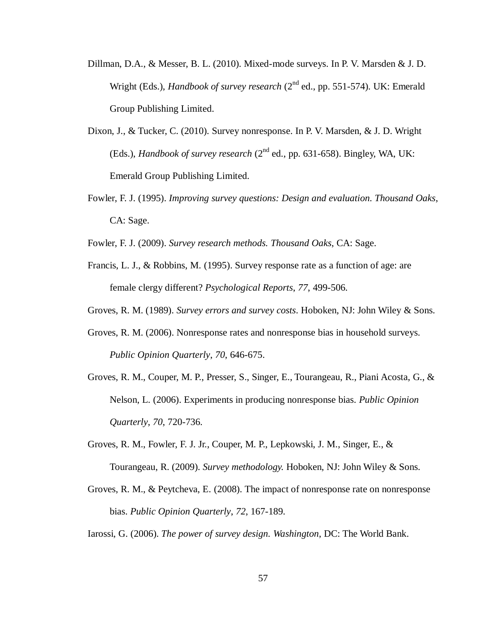- Dillman, D.A., & Messer, B. L. (2010). Mixed-mode surveys. In P. V. Marsden & J. D. Wright (Eds.), *Handbook of survey research* (2<sup>nd</sup> ed., pp. 551-574). UK: Emerald Group Publishing Limited.
- Dixon, J., & Tucker, C. (2010). Survey nonresponse. In P. V. Marsden, & J. D. Wright (Eds.), *Handbook of survey research* (2nd ed., pp. 631-658). Bingley, WA, UK: Emerald Group Publishing Limited.
- Fowler, F. J. (1995). *Improving survey questions: Design and evaluation. Thousand Oaks*, CA: Sage.
- Fowler, F. J. (2009). *Survey research methods. Thousand Oaks*, CA: Sage.
- Francis, L. J., & Robbins, M. (1995). Survey response rate as a function of age: are female clergy different? *Psychological Reports*, *77*, 499-506.
- Groves, R. M. (1989). *Survey errors and survey costs*. Hoboken, NJ: John Wiley & Sons.
- Groves, R. M. (2006). Nonresponse rates and nonresponse bias in household surveys. *Public Opinion Quarterly*, *70*, 646-675.
- Groves, R. M., Couper, M. P., Presser, S., Singer, E., Tourangeau, R., Piani Acosta, G., & Nelson, L. (2006). Experiments in producing nonresponse bias. *Public Opinion Quarterly*, *70*, 720-736.
- Groves, R. M., Fowler, F. J. Jr., Couper, M. P., Lepkowski, J. M., Singer, E., & Tourangeau, R. (2009). *Survey methodology.* Hoboken, NJ: John Wiley & Sons.
- Groves, R. M., & Peytcheva, E. (2008). The impact of nonresponse rate on nonresponse bias. *Public Opinion Quarterly*, *72*, 167-189.
- Iarossi, G. (2006). *The power of survey design. Washington*, DC: The World Bank.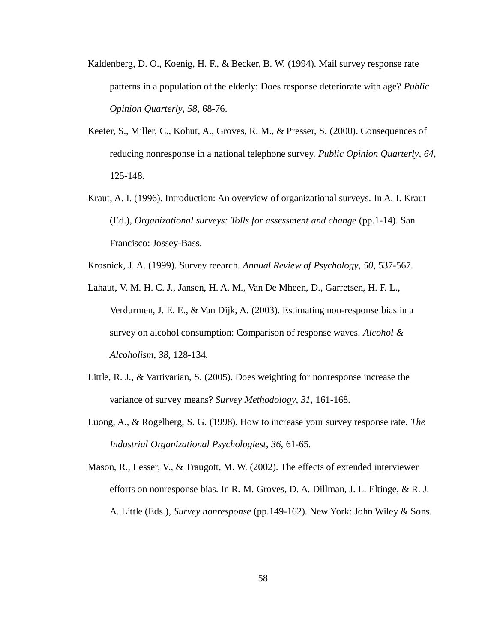- Kaldenberg, D. O., Koenig, H. F., & Becker, B. W. (1994). Mail survey response rate patterns in a population of the elderly: Does response deteriorate with age? *Public Opinion Quarterly*, *58*, 68-76.
- Keeter, S., Miller, C., Kohut, A., Groves, R. M., & Presser, S. (2000). Consequences of reducing nonresponse in a national telephone survey. *Public Opinion Quarterly*, *64*, 125-148.
- Kraut, A. I. (1996). Introduction: An overview of organizational surveys. In A. I. Kraut (Ed.), *Organizational surveys: Tolls for assessment and change* (pp.1-14). San Francisco: Jossey-Bass.
- Krosnick, J. A. (1999). Survey reearch. *Annual Review of Psychology*, *50*, 537-567.
- Lahaut, V. M. H. C. J., Jansen, H. A. M., Van De Mheen, D., Garretsen, H. F. L., Verdurmen, J. E. E., & Van Dijk, A. (2003). Estimating non-response bias in a survey on alcohol consumption: Comparison of response waves. *Alcohol & Alcoholism*, *38*, 128-134.
- Little, R. J., & Vartivarian, S. (2005). Does weighting for nonresponse increase the variance of survey means? *Survey Methodology*, *31*, 161-168.
- Luong, A., & Rogelberg, S. G. (1998). How to increase your survey response rate. *The Industrial Organizational Psychologiest*, *36*, 61-65.
- Mason, R., Lesser, V., & Traugott, M. W. (2002). The effects of extended interviewer efforts on nonresponse bias. In R. M. Groves, D. A. Dillman, J. L. Eltinge, & R. J. A. Little (Eds.), *Survey nonresponse* (pp.149-162). New York: John Wiley & Sons.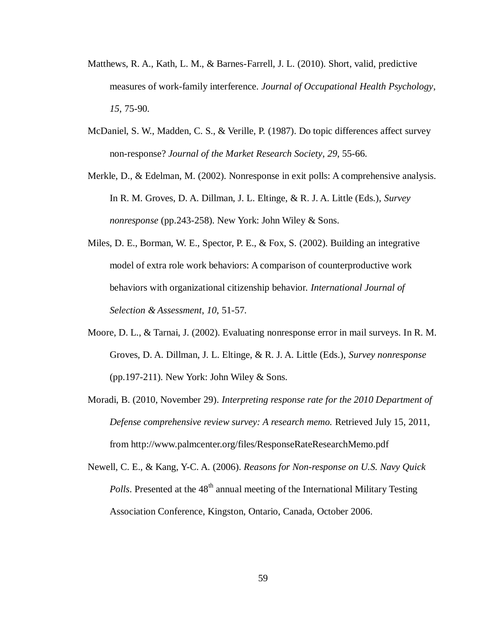- Matthews, R. A., Kath, L. M., & Barnes-Farrell, J. L. (2010). Short, valid, predictive measures of work-family interference. *Journal of Occupational Health Psychology*, *15*, 75-90.
- McDaniel, S. W., Madden, C. S., & Verille, P. (1987). Do topic differences affect survey non-response? *Journal of the Market Research Society*, *29*, 55-66.
- Merkle, D., & Edelman, M. (2002). Nonresponse in exit polls: A comprehensive analysis. In R. M. Groves, D. A. Dillman, J. L. Eltinge, & R. J. A. Little (Eds.), *Survey nonresponse* (pp.243-258). New York: John Wiley & Sons.
- Miles, D. E., Borman, W. E., Spector, P. E., & Fox, S. (2002). Building an integrative model of extra role work behaviors: A comparison of counterproductive work behaviors with organizational citizenship behavior. *International Journal of Selection & Assessment*, *10*, 51-57.
- Moore, D. L., & Tarnai, J. (2002). Evaluating nonresponse error in mail surveys. In R. M. Groves, D. A. Dillman, J. L. Eltinge, & R. J. A. Little (Eds.), *Survey nonresponse* (pp.197-211). New York: John Wiley  $&$  Sons.
- Moradi, B. (2010, November 29). *Interpreting response rate for the 2010 Department of Defense comprehensive review survey: A research memo.* Retrieved July 15, 2011, from http://www.palmcenter.org/files/ResponseRateResearchMemo.pdf
- Newell, C. E., & Kang, Y-C. A. (2006). *Reasons for Non-response on U.S. Navy Quick Polls*. Presented at the 48<sup>th</sup> annual meeting of the International Military Testing Association Conference, Kingston, Ontario, Canada, October 2006.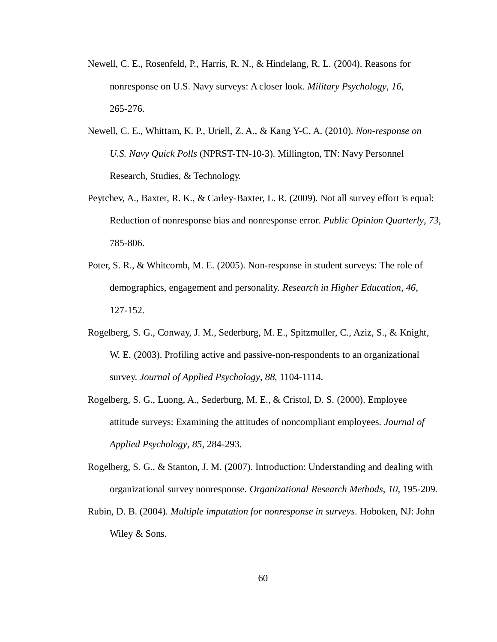- Newell, C. E., Rosenfeld, P., Harris, R. N., & Hindelang, R. L. (2004). Reasons for nonresponse on U.S. Navy surveys: A closer look. *Military Psychology*, *16*, 265-276.
- Newell, C. E., Whittam, K. P., Uriell, Z. A., & Kang Y-C. A. (2010). *Non-response on U.S. Navy Quick Polls* (NPRST-TN-10-3). Millington, TN: Navy Personnel Research, Studies, & Technology.
- Peytchev, A., Baxter, R. K., & Carley-Baxter, L. R. (2009). Not all survey effort is equal: Reduction of nonresponse bias and nonresponse error. *Public Opinion Quarterly*, *73*, 785-806.
- Poter, S. R., & Whitcomb, M. E. (2005). Non-response in student surveys: The role of demographics, engagement and personality. *Research in Higher Education*, *46*, 127-152.
- Rogelberg, S. G., Conway, J. M., Sederburg, M. E., Spitzmuller, C., Aziz, S., & Knight, W. E. (2003). Profiling active and passive-non-respondents to an organizational survey. *Journal of Applied Psychology*, *88*, 1104-1114.
- Rogelberg, S. G., Luong, A., Sederburg, M. E., & Cristol, D. S. (2000). Employee attitude surveys: Examining the attitudes of noncompliant employees. *Journal of Applied Psychology*, *85*, 284-293.
- Rogelberg, S. G., & Stanton, J. M. (2007). Introduction: Understanding and dealing with organizational survey nonresponse. *Organizational Research Methods*, *10*, 195-209.
- Rubin, D. B. (2004). *Multiple imputation for nonresponse in surveys*. Hoboken, NJ: John Wiley & Sons.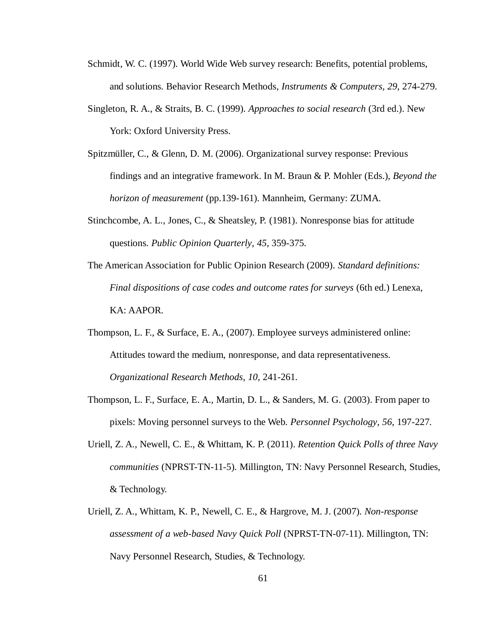- Schmidt, W. C. (1997). World Wide Web survey research: Benefits, potential problems, and solutions. Behavior Research Methods*, Instruments & Computers*, *29*, 274-279.
- Singleton, R. A., & Straits, B. C. (1999). *Approaches to social research* (3rd ed.). New York: Oxford University Press.
- Spitzmüller, C., & Glenn, D. M. (2006). Organizational survey response: Previous findings and an integrative framework. In M. Braun & P. Mohler (Eds.), *Beyond the horizon of measurement* (pp.139-161). Mannheim, Germany: ZUMA.
- Stinchcombe, A. L., Jones, C., & Sheatsley, P. (1981). Nonresponse bias for attitude questions. *Public Opinion Quarterly*, *45*, 359-375.
- The American Association for Public Opinion Research (2009). *Standard definitions: Final dispositions of case codes and outcome rates for surveys* (6th ed.) Lenexa, KA: AAPOR.
- Thompson, L. F., & Surface, E. A., (2007). Employee surveys administered online: Attitudes toward the medium, nonresponse, and data representativeness. *Organizational Research Methods*, *10*, 241-261.
- Thompson, L. F., Surface, E. A., Martin, D. L., & Sanders, M. G. (2003). From paper to pixels: Moving personnel surveys to the Web. *Personnel Psychology*, *56*, 197-227.
- Uriell, Z. A., Newell, C. E., & Whittam, K. P. (2011). *Retention Quick Polls of three Navy communities* (NPRST-TN-11-5). Millington, TN: Navy Personnel Research, Studies, & Technology.
- Uriell, Z. A., Whittam, K. P., Newell, C. E., & Hargrove, M. J. (2007). *Non-response assessment of a web-based Navy Quick Poll* (NPRST-TN-07-11). Millington, TN: Navy Personnel Research, Studies, & Technology.